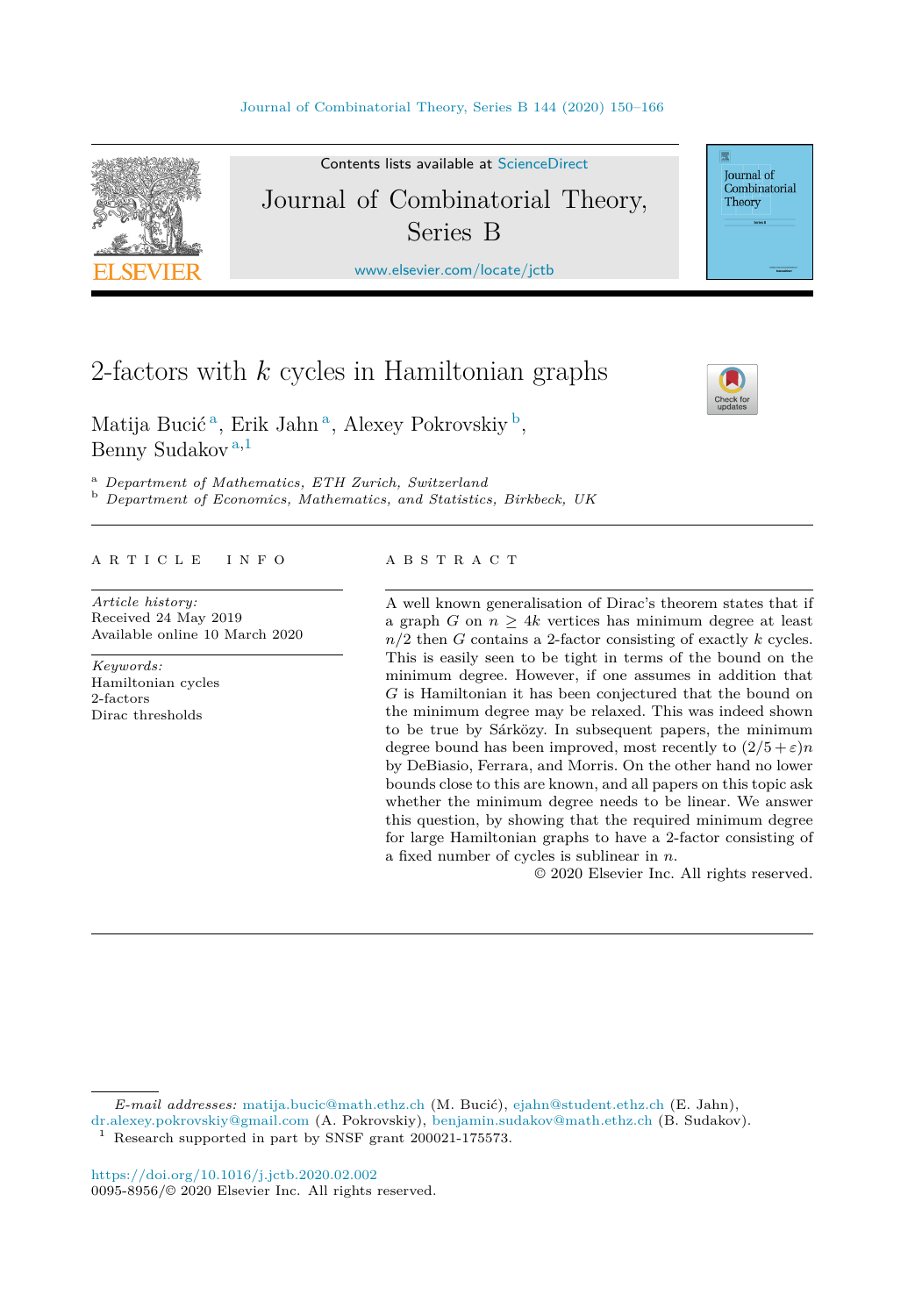

Contents lists available at [ScienceDirect](http://www.ScienceDirect.com/) Journal of Combinatorial Theory, Series B

[www.elsevier.com/locate/jctb](http://www.elsevier.com/locate/jctb)

# 2-factors with *k* cycles in Hamiltonian graphs

Matija Bucić<sup>a</sup>, Erik Jahn<sup>a</sup>, Alexey Pokrovskiy<sup>b</sup>, Benny Sudakov <sup>a</sup>*,*<sup>1</sup>

<sup>a</sup> *Department of Mathematics, ETH Zurich, Switzerland* <sup>b</sup> *Department of Economics, Mathematics, and Statistics, Birkbeck, UK*

#### A R T I C L E I N F O A B S T R A C T

*Article history:* Received 24 May 2019 Available online 10 March 2020

*Keywords:* Hamiltonian cycles 2-factors Dirac thresholds

A well known generalisation of Dirac's theorem states that if a graph *G* on  $n > 4k$  vertices has minimum degree at least *n/*2 then *G* contains a 2-factor consisting of exactly *k* cycles. This is easily seen to be tight in terms of the bound on the minimum degree. However, if one assumes in addition that *G* is Hamiltonian it has been conjectured that the bound on the minimum degree may be relaxed. This was indeed shown to be true by Sárközy. In subsequent papers, the minimum degree bound has been improved, most recently to  $(2/5 + \varepsilon)n$ by DeBiasio, Ferrara, and Morris. On the other hand no lower bounds close to this are known, and all papers on this topic ask whether the minimum degree needs to be linear. We answer this question, by showing that the required minimum degree for large Hamiltonian graphs to have a 2-factor consisting of a fixed number of cycles is sublinear in *n*.

© 2020 Elsevier Inc. All rights reserved.

*E-mail addresses:* [matija.bucic@math.ethz.ch](mailto:matija.bucic@math.ethz.ch) (M. Bucić), [ejahn@student.ethz.ch](mailto:ejahn@student.ethz.ch) (E. Jahn),

[dr.alexey.pokrovskiy@gmail.com](mailto:dr.alexey.pokrovskiy@gmail.com) (A. Pokrovskiy), [benjamin.sudakov@math.ethz.ch](mailto:benjamin.sudakov@math.ethz.ch) (B. Sudakov).

Research supported in part by SNSF grant 200021-175573.



Journal of Combinatorial Theory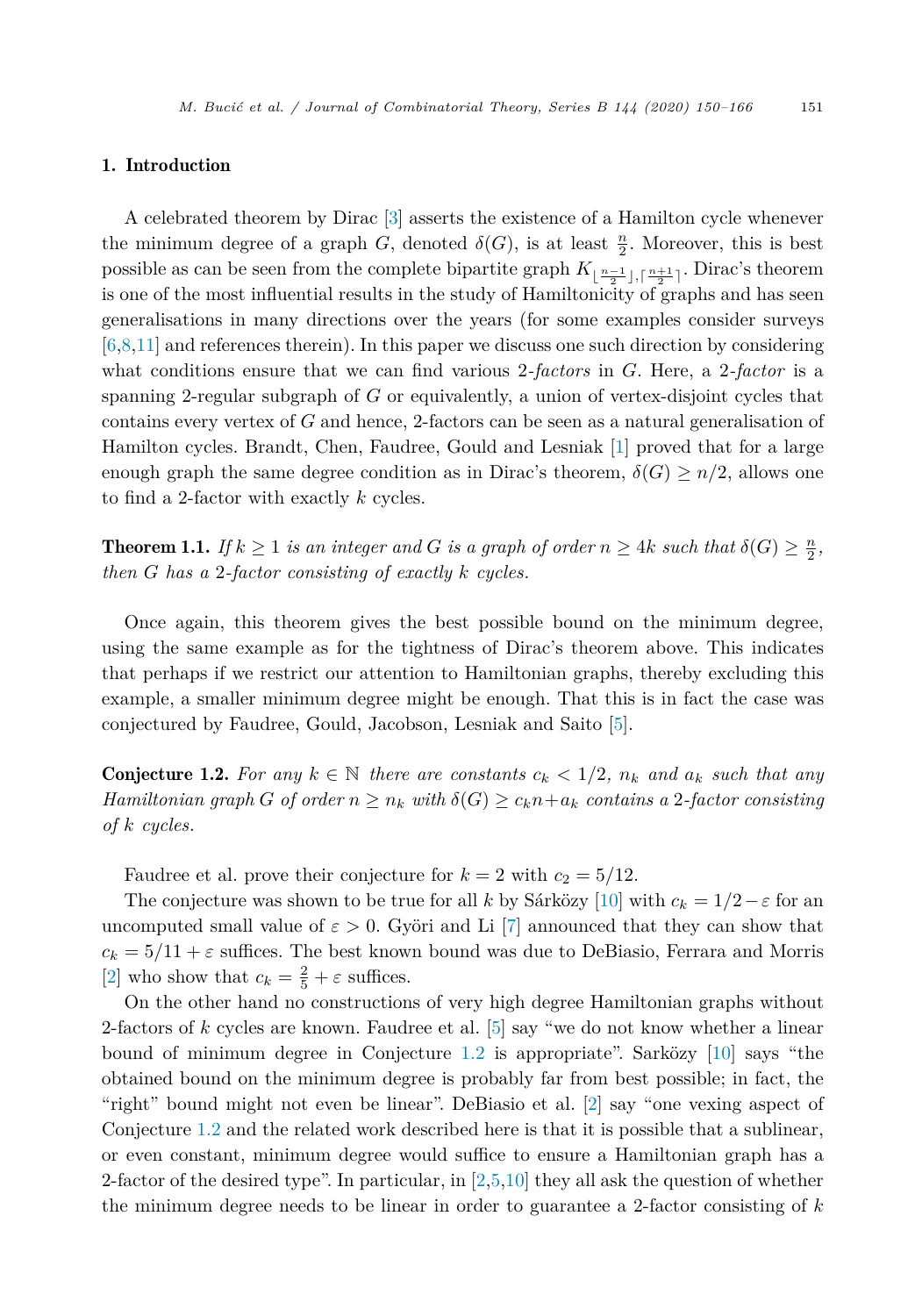#### <span id="page-1-0"></span>1. Introduction

A celebrated theorem by Dirac [\[3\]](#page-16-0) asserts the existence of a Hamilton cycle whenever the minimum degree of a graph *G*, denoted  $\delta(G)$ , is at least  $\frac{n}{2}$ . Moreover, this is best possible as can be seen from the complete bipartite graph  $K_{\lfloor \frac{n-1}{2}\rfloor, \lceil \frac{n+1}{2}\rceil}$ . Dirac's theorem is one of the most influential results in the study of Hamiltonicity of graphs and has seen generalisations in many directions over the years (for some examples consider surveys [\[6](#page-16-0),[8,11\]](#page-16-0) and references therein). In this paper we discuss one such direction by considering what conditions ensure that we can find various 2*-factors* in *G*. Here, a 2*-factor* is a spanning 2-regular subgraph of *G* or equivalently, a union of vertex-disjoint cycles that contains every vertex of *G* and hence, 2-factors can be seen as a natural generalisation of Hamilton cycles. Brandt, Chen, Faudree, Gould and Lesniak [\[1](#page-16-0)] proved that for a large enough graph the same degree condition as in Dirac's theorem,  $\delta(G) \geq n/2$ , allows one to find a 2-factor with exactly *k* cycles.

**Theorem 1.1.** If  $k \geq 1$  is an integer and G is a graph of order  $n \geq 4k$  such that  $\delta(G) \geq \frac{n}{2}$ , *then G has a* 2*-factor consisting of exactly k cycles.*

Once again, this theorem gives the best possible bound on the minimum degree, using the same example as for the tightness of Dirac's theorem above. This indicates that perhaps if we restrict our attention to Hamiltonian graphs, thereby excluding this example, a smaller minimum degree might be enough. That this is in fact the case was conjectured by Faudree, Gould, Jacobson, Lesniak and Saito [[5\]](#page-16-0).

**Conjecture 1.2.** For any  $k \in \mathbb{N}$  there are constants  $c_k < 1/2$ ,  $n_k$  and  $a_k$  such that any Hamiltonian graph G of order  $n \geq n_k$  with  $\delta(G) \geq c_k n + a_k$  contains a 2-factor consisting *of k cycles.*

Faudree et al. prove their conjecture for  $k = 2$  with  $c_2 = 5/12$ .

The conjecture was shown to be true for all *k* by Sárközy [\[10](#page-16-0)] with  $c_k = 1/2 - \varepsilon$  for an uncomputed small value of  $\varepsilon > 0$ . Györi and Li [[7\]](#page-16-0) announced that they can show that  $c_k = 5/11 + \varepsilon$  suffices. The best known bound was due to DeBiasio, Ferrara and Morris [\[2](#page-16-0)] who show that  $c_k = \frac{2}{5} + \varepsilon$  suffices.

On the other hand no constructions of very high degree Hamiltonian graphs without 2-factors of *k* cycles are known. Faudree et al. [[5\]](#page-16-0) say "we do not know whether a linear bound of minimum degree in Conjecture 1.2 is appropriate". Sarközy [[10\]](#page-16-0) says "the obtained bound on the minimum degree is probably far from best possible; in fact, the "right" bound might not even be linear". DeBiasio et al. [\[2](#page-16-0)] say "one vexing aspect of Conjecture 1.2 and the related work described here is that it is possible that a sublinear, or even constant, minimum degree would suffice to ensure a Hamiltonian graph has a 2-factor of the desired type". In particular, in  $[2,5,10]$  $[2,5,10]$  $[2,5,10]$  they all ask the question of whether the minimum degree needs to be linear in order to guarantee a 2-factor consisting of *k*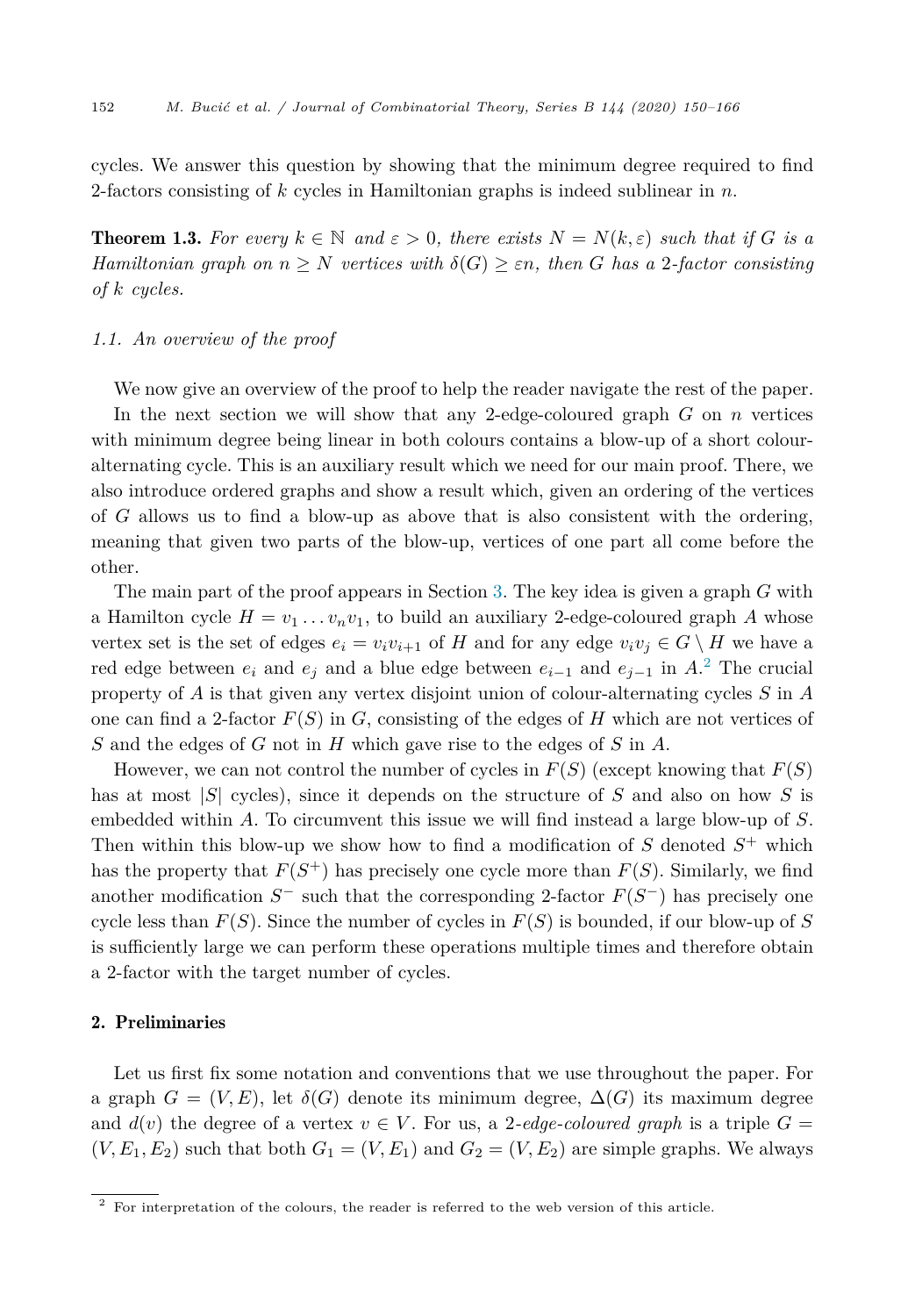<span id="page-2-0"></span>cycles. We answer this question by showing that the minimum degree required to find 2-factors consisting of *k* cycles in Hamiltonian graphs is indeed sublinear in *n*.

**Theorem 1.3.** For every  $k \in \mathbb{N}$  and  $\varepsilon > 0$ , there exists  $N = N(k, \varepsilon)$  such that if G is a *Hamiltonian graph on*  $n \geq N$  *vertices with*  $\delta(G) \geq \varepsilon n$ , *then G has a* 2-factor consisting *of k cycles.*

# *1.1. An overview of the proof*

We now give an overview of the proof to help the reader navigate the rest of the paper. In the next section we will show that any 2-edge-coloured graph *G* on *n* vertices with minimum degree being linear in both colours contains a blow-up of a short colouralternating cycle. This is an auxiliary result which we need for our main proof. There, we also introduce ordered graphs and show a result which, given an ordering of the vertices of *G* allows us to find a blow-up as above that is also consistent with the ordering, meaning that given two parts of the blow-up, vertices of one part all come before the other.

The main part of the proof appears in Section [3.](#page-5-0) The key idea is given a graph *G* with a Hamilton cycle  $H = v_1 \dots v_n v_1$ , to build an auxiliary 2-edge-coloured graph A whose vertex set is the set of edges  $e_i = v_i v_{i+1}$  of *H* and for any edge  $v_i v_j \in G \setminus H$  we have a red edge between  $e_i$  and  $e_j$  and a blue edge between  $e_{i-1}$  and  $e_{j-1}$  in  $A$ <sup>2</sup>. The crucial property of *A* is that given any vertex disjoint union of colour-alternating cycles *S* in *A* one can find a 2-factor  $F(S)$  in  $G$ , consisting of the edges of  $H$  which are not vertices of *S* and the edges of *G* not in *H* which gave rise to the edges of *S* in *A*.

However, we can not control the number of cycles in  $F(S)$  (except knowing that  $F(S)$ ) has at most |*S*| cycles), since it depends on the structure of *S* and also on how *S* is embedded within *A*. To circumvent this issue we will find instead a large blow-up of *S*. Then within this blow-up we show how to find a modification of  $S$  denoted  $S^+$  which has the property that  $F(S^+)$  has precisely one cycle more than  $F(S)$ . Similarly, we find another modification  $S^-$  such that the corresponding 2-factor  $F(S^-)$  has precisely one cycle less than  $F(S)$ . Since the number of cycles in  $F(S)$  is bounded, if our blow-up of S is sufficiently large we can perform these operations multiple times and therefore obtain a 2-factor with the target number of cycles.

# 2. Preliminaries

Let us first fix some notation and conventions that we use throughout the paper. For a graph  $G = (V, E)$ , let  $\delta(G)$  denote its minimum degree,  $\Delta(G)$  its maximum degree and  $d(v)$  the degree of a vertex  $v \in V$ . For us, a 2-edge-coloured graph is a triple  $G =$  $(V, E_1, E_2)$  such that both  $G_1 = (V, E_1)$  and  $G_2 = (V, E_2)$  are simple graphs. We always

<sup>&</sup>lt;sup>2</sup> For interpretation of the colours, the reader is referred to the web version of this article.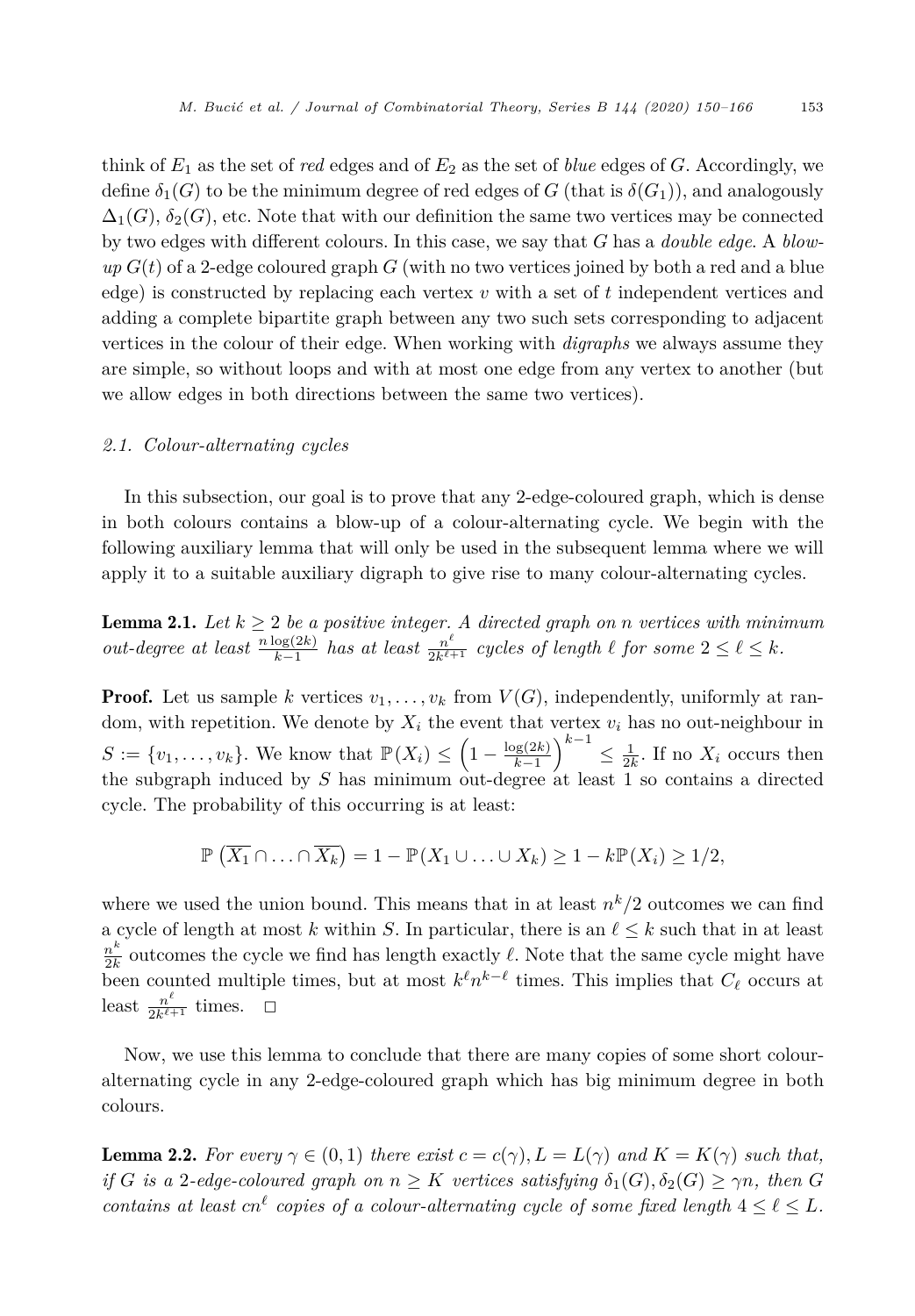<span id="page-3-0"></span>think of *E*<sup>1</sup> as the set of *red* edges and of *E*<sup>2</sup> as the set of *blue* edges of *G*. Accordingly, we define  $\delta_1(G)$  to be the minimum degree of red edges of *G* (that is  $\delta(G_1)$ ), and analogously  $\Delta_1(G)$ ,  $\delta_2(G)$ , etc. Note that with our definition the same two vertices may be connected by two edges with different colours. In this case, we say that *G* has a *double edge*. A *blow* $up G(t)$  of a 2-edge coloured graph  $G$  (with no two vertices joined by both a red and a blue edge) is constructed by replacing each vertex *v* with a set of *t* independent vertices and adding a complete bipartite graph between any two such sets corresponding to adjacent vertices in the colour of their edge. When working with *digraphs* we always assume they are simple, so without loops and with at most one edge from any vertex to another (but we allow edges in both directions between the same two vertices).

# *2.1. Colour-alternating cycles*

In this subsection, our goal is to prove that any 2-edge-coloured graph, which is dense in both colours contains a blow-up of a colour-alternating cycle. We begin with the following auxiliary lemma that will only be used in the subsequent lemma where we will apply it to a suitable auxiliary digraph to give rise to many colour-alternating cycles.

**Lemma 2.1.** Let  $k \geq 2$  be a positive integer. A directed graph on *n* vertices with minimum out-degree at least  $\frac{n \log(2k)}{k-1}$  has at least  $\frac{n^{\ell}}{2k^{\ell+1}}$  cycles of length  $\ell$  for some  $2 \leq \ell \leq k$ .

**Proof.** Let us sample *k* vertices  $v_1, \ldots, v_k$  from  $V(G)$ , independently, uniformly at random, with repetition. We denote by *X<sup>i</sup>* the event that vertex *v<sup>i</sup>* has no out-neighbour in  $S := \{v_1, \ldots, v_k\}.$  We know that  $\mathbb{P}(X_i) \leq \left(1 - \frac{\log(2k)}{k-1}\right)$  $\left(\int_{0}^{k-1} 1 \leq \frac{1}{2k}$ . If no  $X_i$  occurs then the subgraph induced by *S* has minimum out-degree at least 1 so contains a directed cycle. The probability of this occurring is at least:

$$
\mathbb{P}\left(\overline{X_1}\cap\ldots\cap\overline{X_k}\right)=1-\mathbb{P}(X_1\cup\ldots\cup X_k)\geq 1-k\mathbb{P}(X_i)\geq 1/2,
$$

where we used the union bound. This means that in at least  $n^k/2$  outcomes we can find a cycle of length at most *k* within *S*. In particular, there is an  $\ell \leq k$  such that in at least  $\frac{n^k}{2k}$  outcomes the cycle we find has length exactly  $\ell$ . Note that the same cycle might have been counted multiple times, but at most  $k^{\ell} n^{k-\ell}$  times. This implies that  $C_{\ell}$  occurs at least  $\frac{n^{\ell}}{2k^{\ell+1}}$  times.  $\Box$ 

Now, we use this lemma to conclude that there are many copies of some short colouralternating cycle in any 2-edge-coloured graph which has big minimum degree in both colours.

**Lemma 2.2.** For every  $\gamma \in (0,1)$  there exist  $c = c(\gamma)$ ,  $L = L(\gamma)$  and  $K = K(\gamma)$  such that, if G is a 2-edge-coloured graph on  $n \geq K$  vertices satisfying  $\delta_1(G), \delta_2(G) \geq \gamma n$ , then G *contains at least*  $cn^{\ell}$  *copies of a colour-alternating cycle of some fixed length*  $4 \leq \ell \leq L$ *.*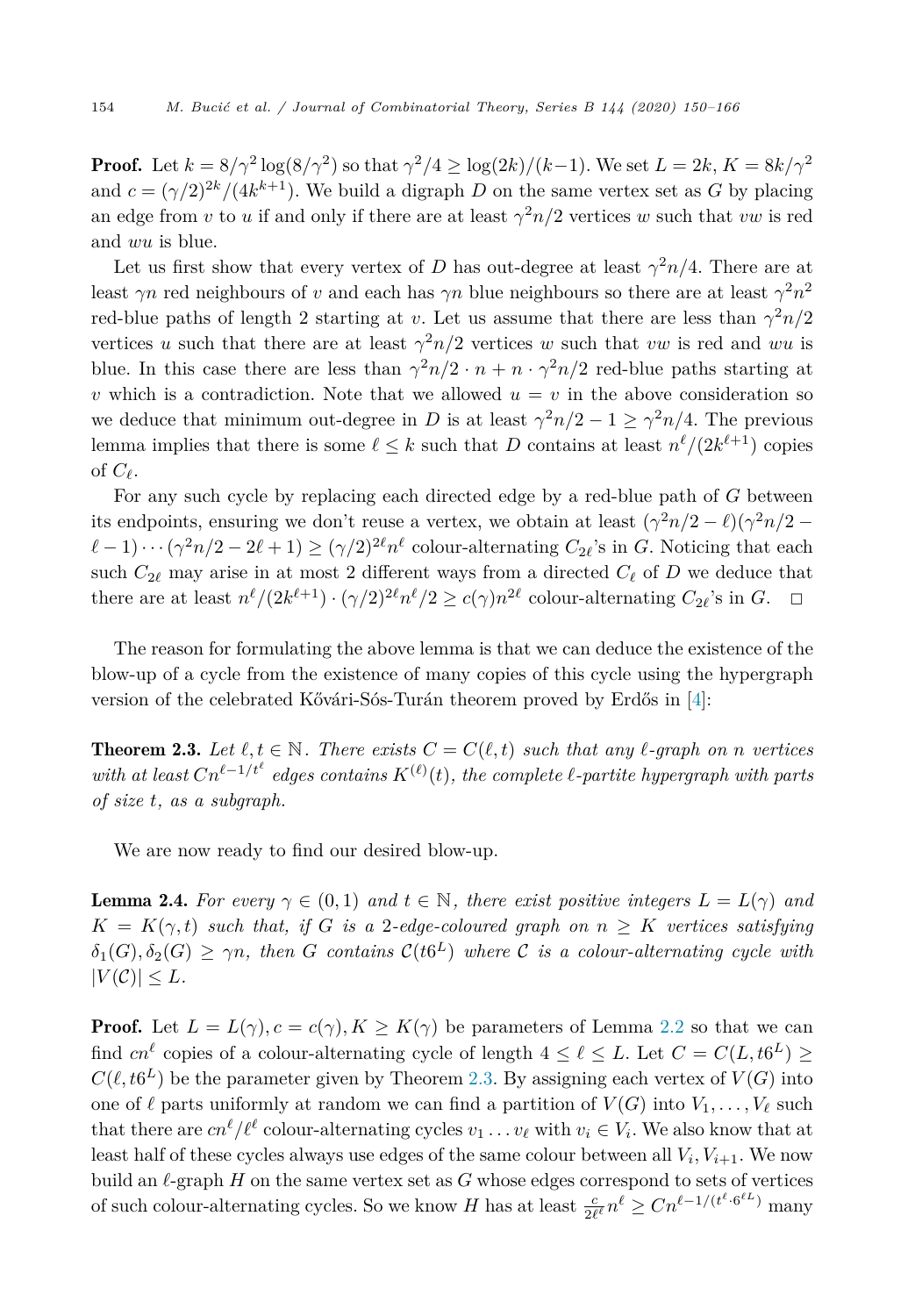<span id="page-4-0"></span>**Proof.** Let  $k = 8/\gamma^2 \log(8/\gamma^2)$  so that  $\gamma^2/4 \ge \log(2k)/(k-1)$ . We set  $L = 2k$ ,  $K = 8k/\gamma^2$ and  $c = (\gamma/2)^{2k}/(4k^{k+1})$ . We build a digraph *D* on the same vertex set as *G* by placing an edge from *v* to *u* if and only if there are at least  $\gamma^2 n/2$  vertices *w* such that *vw* is red and *wu* is blue.

Let us first show that every vertex of *D* has out-degree at least  $\gamma^2 n/4$ . There are at least  $\gamma n$  red neighbours of *v* and each has  $\gamma n$  blue neighbours so there are at least  $\gamma^2 n^2$ red-blue paths of length 2 starting at *v*. Let us assume that there are less than  $\gamma^2 n/2$ vertices *u* such that there are at least  $\gamma^2 n/2$  vertices *w* such that *vw* is red and *wu* is blue. In this case there are less than  $\gamma^2 n/2 \cdot n + n \cdot \gamma^2 n/2$  red-blue paths starting at *v* which is a contradiction. Note that we allowed  $u = v$  in the above consideration so we deduce that minimum out-degree in *D* is at least  $\gamma^2 n/2 - 1 \geq \gamma^2 n/4$ . The previous lemma implies that there is some  $\ell \leq k$  such that *D* contains at least  $n^{\ell}/(2k^{\ell+1})$  copies of  $C_{\ell}$ .

For any such cycle by replacing each directed edge by a red-blue path of *G* between its endpoints, ensuring we don't reuse a vertex, we obtain at least  $(\gamma^2 n/2 - \ell)(\gamma^2 n/2 (\ell - 1) \cdots (\gamma^2 n/2 - 2\ell + 1) \ge (\gamma/2)^{2\ell} n^{\ell}$  colour-alternating  $C_{2\ell}$ 's in *G*. Noticing that each such  $C_{2\ell}$  may arise in at most 2 different ways from a directed  $C_{\ell}$  of  $D$  we deduce that there are at least  $n^{\ell}/(2k^{\ell+1}) \cdot (\gamma/2)^{2\ell} n^{\ell}/2 \ge c(\gamma)n^{2\ell}$  colour-alternating  $C_{2\ell}$ 's in  $G$ .  $\Box$ 

The reason for formulating the above lemma is that we can deduce the existence of the blow-up of a cycle from the existence of many copies of this cycle using the hypergraph version of the celebrated Kővári-Sós-Turán theorem proved by Erdős in [\[4](#page-16-0)]:

**Theorem 2.3.** Let  $\ell, t \in \mathbb{N}$ . There exists  $C = C(\ell, t)$  such that any  $\ell$ -graph on *n* vertices with at least  $Cn^{\ell-1/t^{\ell}}$  edges contains  $K^{(\ell)}(t)$ , the complete  $\ell$ -partite hypergraph with parts *of size t, as a subgraph.*

We are now ready to find our desired blow-up.

**Lemma 2.4.** For every  $\gamma \in (0,1)$  and  $t \in \mathbb{N}$ , there exist positive integers  $L = L(\gamma)$  and  $K = K(\gamma, t)$  *such* that, if G is a 2-edge-coloured graph on  $n > K$  vertices satisfying  $\delta_1(G), \delta_2(G) \ge \gamma n$ , then *G* contains  $\mathcal{C}(t6^L)$  where *C* is a colour-alternating cycle with  $|V(C)| \leq L$ *.* 

**Proof.** Let  $L = L(\gamma), c = c(\gamma), K \geq K(\gamma)$  be parameters of Lemma [2.2](#page-3-0) so that we can find  $cn^{\ell}$  copies of a colour-alternating cycle of length  $4 \leq \ell \leq L$ . Let  $C = C(L, t6^L) \geq$  $C(\ell, t6^L)$  be the parameter given by Theorem 2.3. By assigning each vertex of  $V(G)$  into one of  $\ell$  parts uniformly at random we can find a partition of  $V(G)$  into  $V_1, \ldots, V_\ell$  such that there are  $cn^{\ell}/\ell^{\ell}$  colour-alternating cycles  $v_1 \ldots v_{\ell}$  with  $v_i \in V_i$ . We also know that at least half of these cycles always use edges of the same colour between all  $V_i$ ,  $V_{i+1}$ . We now build an  $\ell$ -graph *H* on the same vertex set as *G* whose edges correspond to sets of vertices of such colour-alternating cycles. So we know *H* has at least  $\frac{c}{2\ell^{\ell}} n^{\ell} \geq C n^{\ell-1/(\ell^{\ell} \cdot 6^{\ell} L)}$  many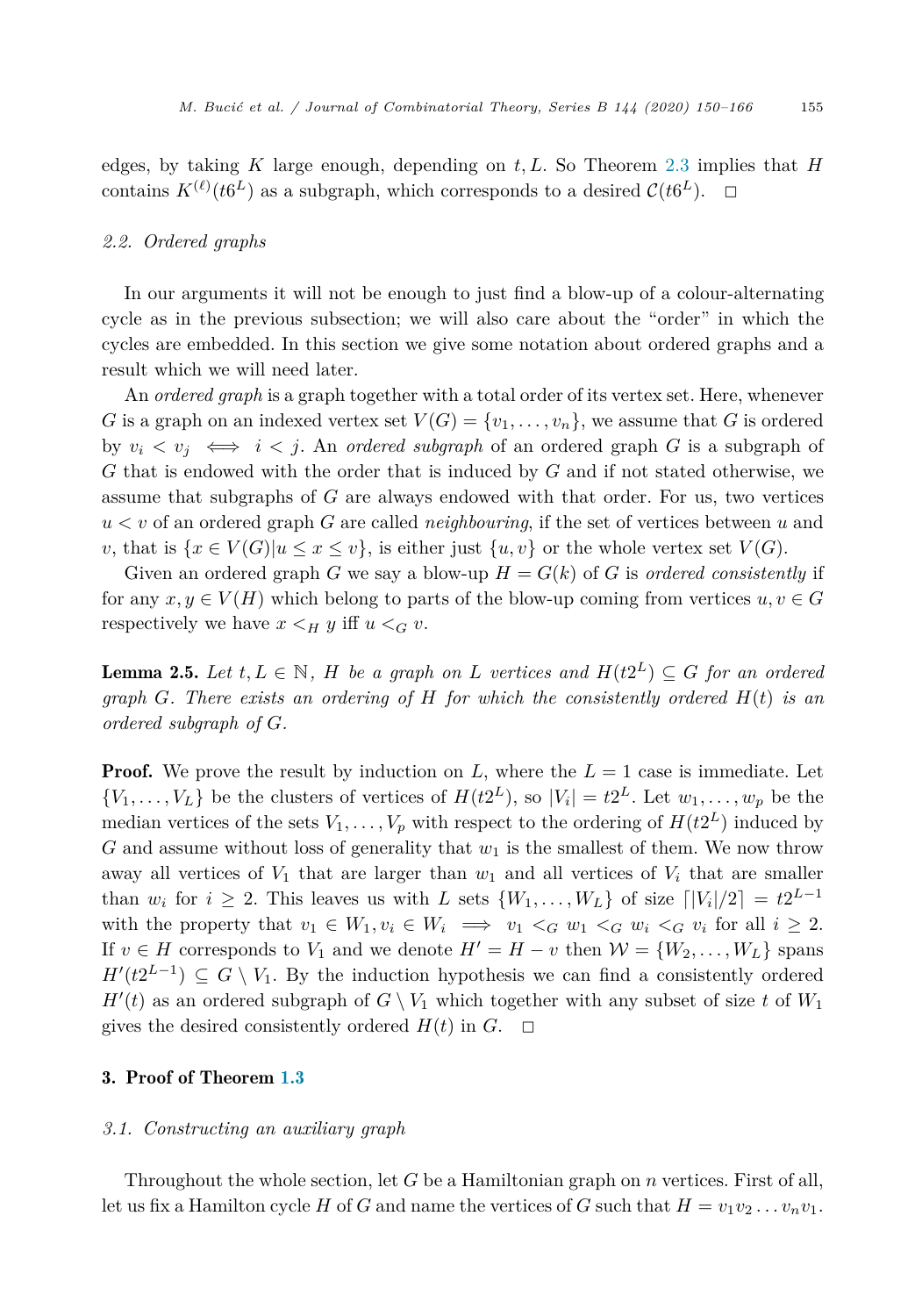<span id="page-5-0"></span>edges, by taking *K* large enough, depending on *t,L*. So Theorem [2.3](#page-4-0) implies that *H* contains  $K^{(\ell)}(t6^L)$  as a subgraph, which corresponds to a desired  $C(t6^L)$ .  $\Box$ 

#### *2.2. Ordered graphs*

In our arguments it will not be enough to just find a blow-up of a colour-alternating cycle as in the previous subsection; we will also care about the "order" in which the cycles are embedded. In this section we give some notation about ordered graphs and a result which we will need later.

An *ordered graph* is a graph together with a total order of its vertex set. Here, whenever *G* is a graph on an indexed vertex set  $V(G) = \{v_1, \ldots, v_n\}$ , we assume that *G* is ordered by  $v_i \le v_j \iff i \le j$ . An *ordered subgraph* of an ordered graph *G* is a subgraph of *G* that is endowed with the order that is induced by *G* and if not stated otherwise, we assume that subgraphs of *G* are always endowed with that order. For us, two vertices *u < v* of an ordered graph *G* are called *neighbouring*, if the set of vertices between *u* and *v*, that is  $\{x \in V(G) | u \leq x \leq v\}$ , is either just  $\{u, v\}$  or the whole vertex set  $V(G)$ .

Given an ordered graph *G* we say a blow-up  $H = G(k)$  of *G* is *ordered consistently* if for any  $x, y \in V(H)$  which belong to parts of the blow-up coming from vertices  $u, v \in G$ respectively we have  $x \leq_H y$  iff  $u \leq_G v$ .

**Lemma 2.5.** Let  $t, L \in \mathbb{N}$ , H be a graph on L vertices and  $H(t2^L) \subseteq G$  for an ordered *graph G. There exists an ordering of H for which the consistently ordered H*(*t*) *is an ordered subgraph of G.*

**Proof.** We prove the result by induction on  $L$ , where the  $L = 1$  case is immediate. Let  $\{V_1, \ldots, V_L\}$  be the clusters of vertices of  $H(t2^L)$ , so  $|V_i| = t2^L$ . Let  $w_1, \ldots, w_p$  be the median vertices of the sets  $V_1, \ldots, V_p$  with respect to the ordering of  $H(t2^L)$  induced by *G* and assume without loss of generality that  $w_1$  is the smallest of them. We now throw away all vertices of  $V_1$  that are larger than  $w_1$  and all vertices of  $V_i$  that are smaller than  $w_i$  for  $i \geq 2$ . This leaves us with *L* sets  $\{W_1, \ldots, W_L\}$  of size  $\lfloor |V_i|/2 \rfloor = t2^{L-1}$ with the property that  $v_1 \in W_1, v_i \in W_i \implies v_1 <_{G} w_1 <_{G} w_i <_{G} v_i$  for all  $i \geq 2$ . If  $v \in H$  corresponds to  $V_1$  and we denote  $H' = H - v$  then  $\mathcal{W} = \{W_2, \ldots, W_L\}$  spans  $H'(t2^{L-1}) \subseteq G \setminus V_1$ . By the induction hypothesis we can find a consistently ordered  $H'(t)$  as an ordered subgraph of  $G \setminus V_1$  which together with any subset of size *t* of  $W_1$ gives the desired consistently ordered  $H(t)$  in  $G$ .  $\Box$ 

#### 3. Proof of Theorem [1.3](#page-2-0)

#### *3.1. Constructing an auxiliary graph*

Throughout the whole section, let *G* be a Hamiltonian graph on *n* vertices. First of all, let us fix a Hamilton cycle *H* of *G* and name the vertices of *G* such that  $H = v_1v_2 \ldots v_nv_1$ .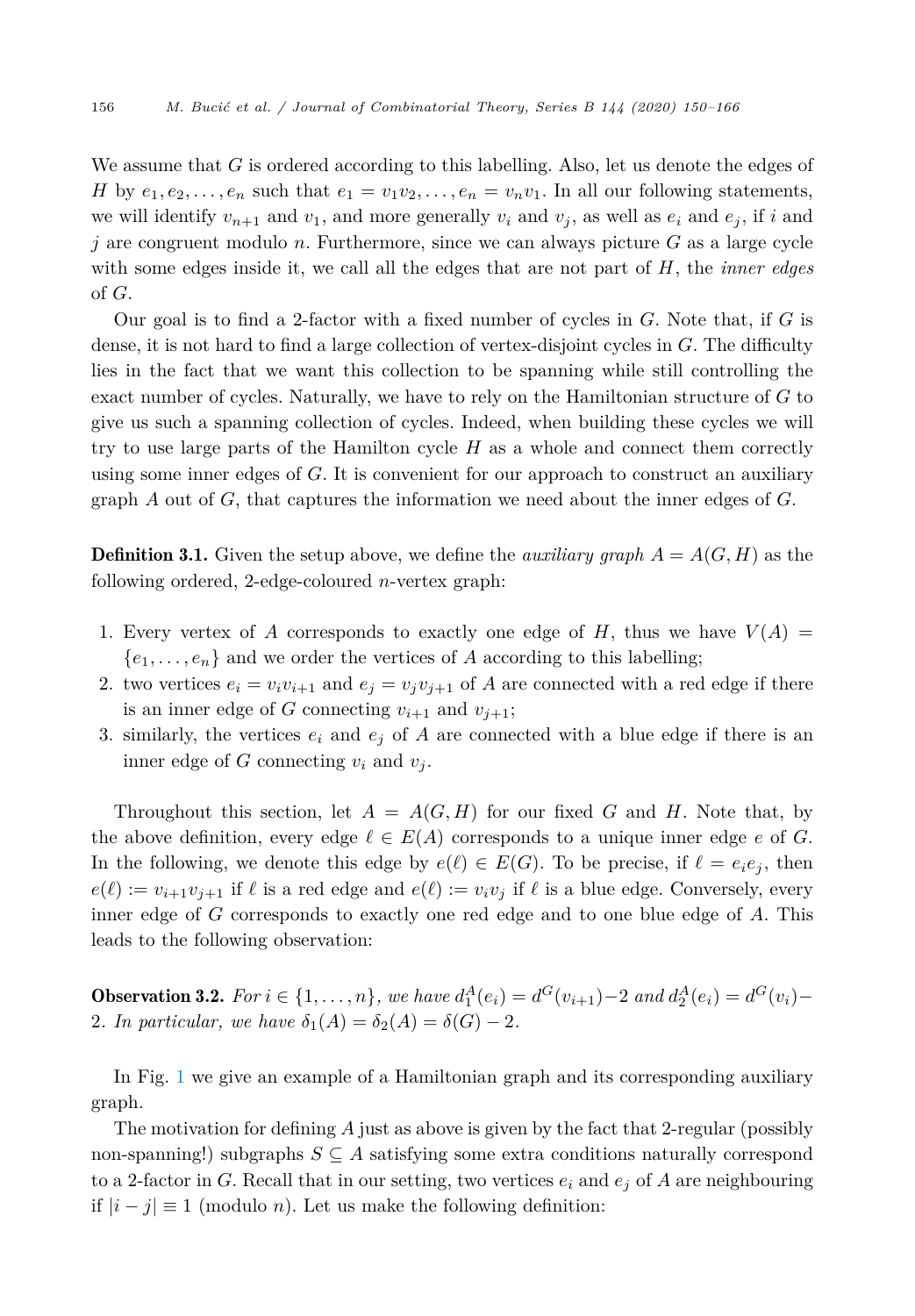<span id="page-6-0"></span>We assume that *G* is ordered according to this labelling. Also, let us denote the edges of *H* by  $e_1, e_2, \ldots, e_n$  such that  $e_1 = v_1v_2, \ldots, e_n = v_nv_1$ . In all our following statements, we will identify  $v_{n+1}$  and  $v_1$ , and more generally  $v_i$  and  $v_j$ , as well as  $e_i$  and  $e_j$ , if *i* and *j* are congruent modulo *n*. Furthermore, since we can always picture *G* as a large cycle with some edges inside it, we call all the edges that are not part of *H*, the *inner edges* of *G*.

Our goal is to find a 2-factor with a fixed number of cycles in *G*. Note that, if *G* is dense, it is not hard to find a large collection of vertex-disjoint cycles in *G*. The difficulty lies in the fact that we want this collection to be spanning while still controlling the exact number of cycles. Naturally, we have to rely on the Hamiltonian structure of *G* to give us such a spanning collection of cycles. Indeed, when building these cycles we will try to use large parts of the Hamilton cycle *H* as a whole and connect them correctly using some inner edges of *G*. It is convenient for our approach to construct an auxiliary graph *A* out of *G*, that captures the information we need about the inner edges of *G*.

**Definition 3.1.** Given the setup above, we define the *auxiliary graph*  $A = A(G, H)$  as the following ordered, 2-edge-coloured *n*-vertex graph:

- 1. Every vertex of A corresponds to exactly one edge of H, thus we have  $V(A)$  =  ${e_1, \ldots, e_n}$  and we order the vertices of *A* according to this labelling;
- 2. two vertices  $e_i = v_i v_{i+1}$  and  $e_j = v_j v_{j+1}$  of *A* are connected with a red edge if there is an inner edge of *G* connecting  $v_{i+1}$  and  $v_{i+1}$ ;
- 3. similarly, the vertices  $e_i$  and  $e_j$  of A are connected with a blue edge if there is an inner edge of *G* connecting  $v_i$  and  $v_j$ .

Throughout this section, let  $A = A(G, H)$  for our fixed G and H. Note that, by the above definition, every edge  $\ell \in E(A)$  corresponds to a unique inner edge *e* of *G*. In the following, we denote this edge by  $e(\ell) \in E(G)$ . To be precise, if  $\ell = e_i e_j$ , then  $e(\ell) := v_{i+1}v_{j+1}$  if  $\ell$  is a red edge and  $e(\ell) := v_iv_j$  if  $\ell$  is a blue edge. Conversely, every inner edge of *G* corresponds to exactly one red edge and to one blue edge of *A*. This leads to the following observation:

**Observation 3.2.** For  $i \in \{1, ..., n\}$ , we have  $d_1^A(e_i) = d^G(v_{i+1}) - 2$  and  $d_2^A(e_i) = d^G(v_i) - 2$ 2*. In particular, we have*  $\delta_1(A) = \delta_2(A) = \delta(G) - 2$ *.* 

In Fig. [1](#page-7-0) we give an example of a Hamiltonian graph and its corresponding auxiliary graph.

The motivation for defining *A* just as above is given by the fact that 2-regular (possibly non-spanning!) subgraphs  $S \subseteq A$  satisfying some extra conditions naturally correspond to a 2-factor in *G*. Recall that in our setting, two vertices  $e_i$  and  $e_j$  of *A* are neighbouring if |*i* − *j*| ≡ 1 (modulo *n*). Let us make the following definition: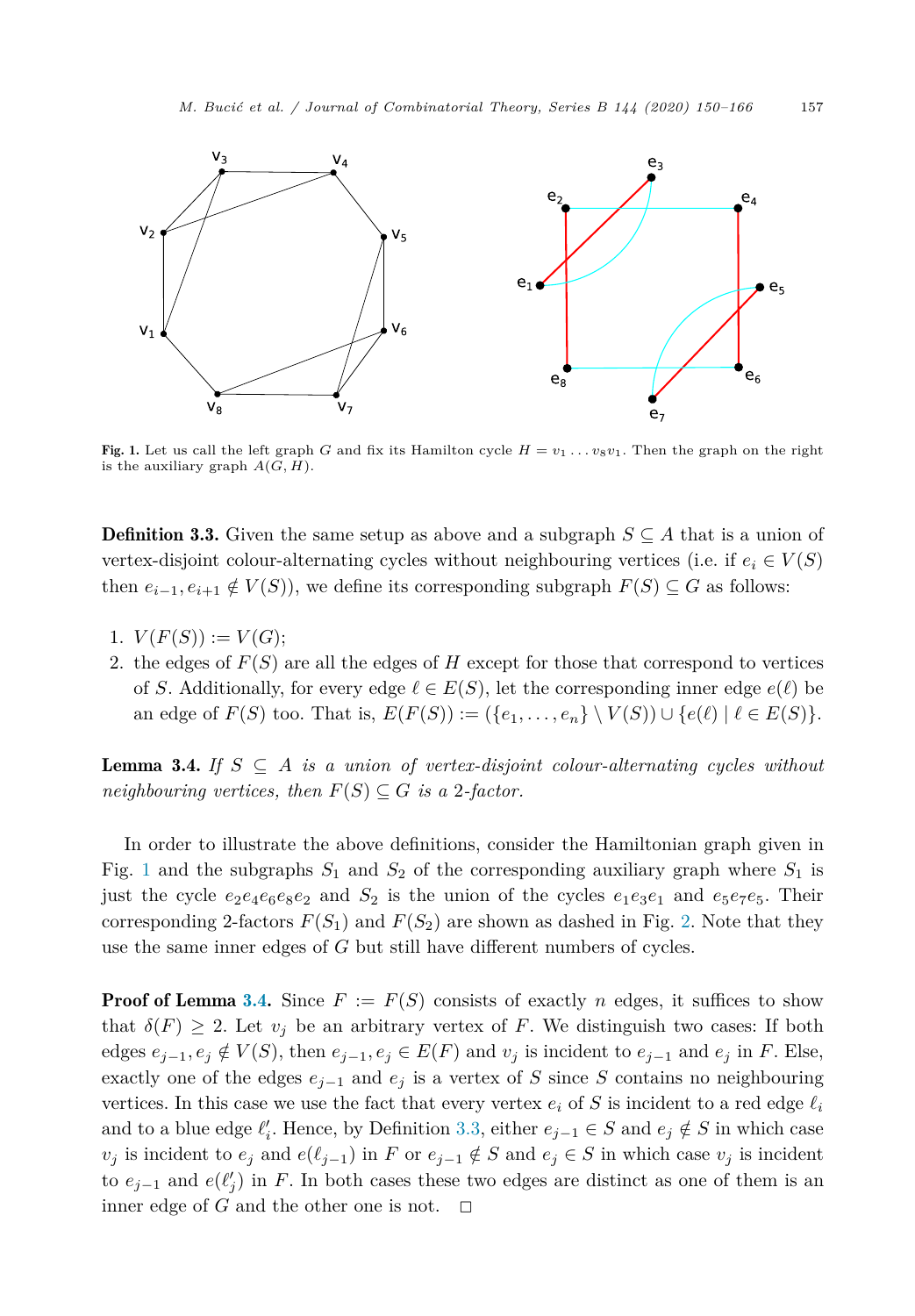<span id="page-7-0"></span>

Fig. 1. Let us call the left graph *G* and fix its Hamilton cycle  $H = v_1 \dots v_8 v_1$ . Then the graph on the right is the auxiliary graph  $A(G, H)$ .

**Definition 3.3.** Given the same setup as above and a subgraph  $S \subseteq A$  that is a union of vertex-disjoint colour-alternating cycles without neighbouring vertices (i.e. if  $e_i \in V(S)$ ) then  $e_{i-1}, e_{i+1} \notin V(S)$ , we define its corresponding subgraph  $F(S) \subseteq G$  as follows:

- 1.  $V(F(S)) := V(G);$
- 2. the edges of  $F(S)$  are all the edges of  $H$  except for those that correspond to vertices of *S*. Additionally, for every edge  $\ell \in E(S)$ , let the corresponding inner edge  $e(\ell)$  be an edge of  $F(S)$  too. That is,  $E(F(S)) := (\{e_1, \ldots, e_n\} \setminus V(S)) \cup \{e(\ell) \mid \ell \in E(S)\}.$

**Lemma 3.4.** *If*  $S \subseteq A$  *is a union of vertex-disjoint colour-alternating cycles without neighbouring vertices, then*  $F(S) \subseteq G$  *is a* 2*-factor.* 

In order to illustrate the above definitions, consider the Hamiltonian graph given in Fig. 1 and the subgraphs  $S_1$  and  $S_2$  of the corresponding auxiliary graph where  $S_1$  is just the cycle  $e_2e_4e_6e_8e_2$  and  $S_2$  is the union of the cycles  $e_1e_3e_1$  and  $e_5e_7e_5$ . Their corresponding [2](#page-8-0)-factors  $F(S_1)$  and  $F(S_2)$  are shown as dashed in Fig. 2. Note that they use the same inner edges of *G* but still have different numbers of cycles.

**Proof of Lemma 3.4.** Since  $F := F(S)$  consists of exactly *n* edges, it suffices to show that  $\delta(F) \geq 2$ . Let  $v_j$  be an arbitrary vertex of *F*. We distinguish two cases: If both edges  $e_{j-1}, e_j \notin V(S)$ , then  $e_{j-1}, e_j \in E(F)$  and  $v_j$  is incident to  $e_{j-1}$  and  $e_j$  in F. Else, exactly one of the edges  $e_{j-1}$  and  $e_j$  is a vertex of *S* since *S* contains no neighbouring vertices. In this case we use the fact that every vertex  $e_i$  of S is incident to a red edge  $\ell_i$ and to a blue edge  $\ell'_i$ . Hence, by Definition 3.3, either  $e_{j-1} \in S$  and  $e_j \notin S$  in which case *v*<sup>*j*</sup> is incident to *e*<sup>*j*</sup> and *e*( $\ell_{j-1}$ ) in *F* or *e*<sub>*j*−1</sub> ∉ *S* and *e*<sub>*j*</sub> ∈ *S* in which case *v*<sub>*j*</sub> is incident to  $e_{j-1}$  and  $e(\ell'_j)$  in *F*. In both cases these two edges are distinct as one of them is an inner edge of *G* and the other one is not.  $\Box$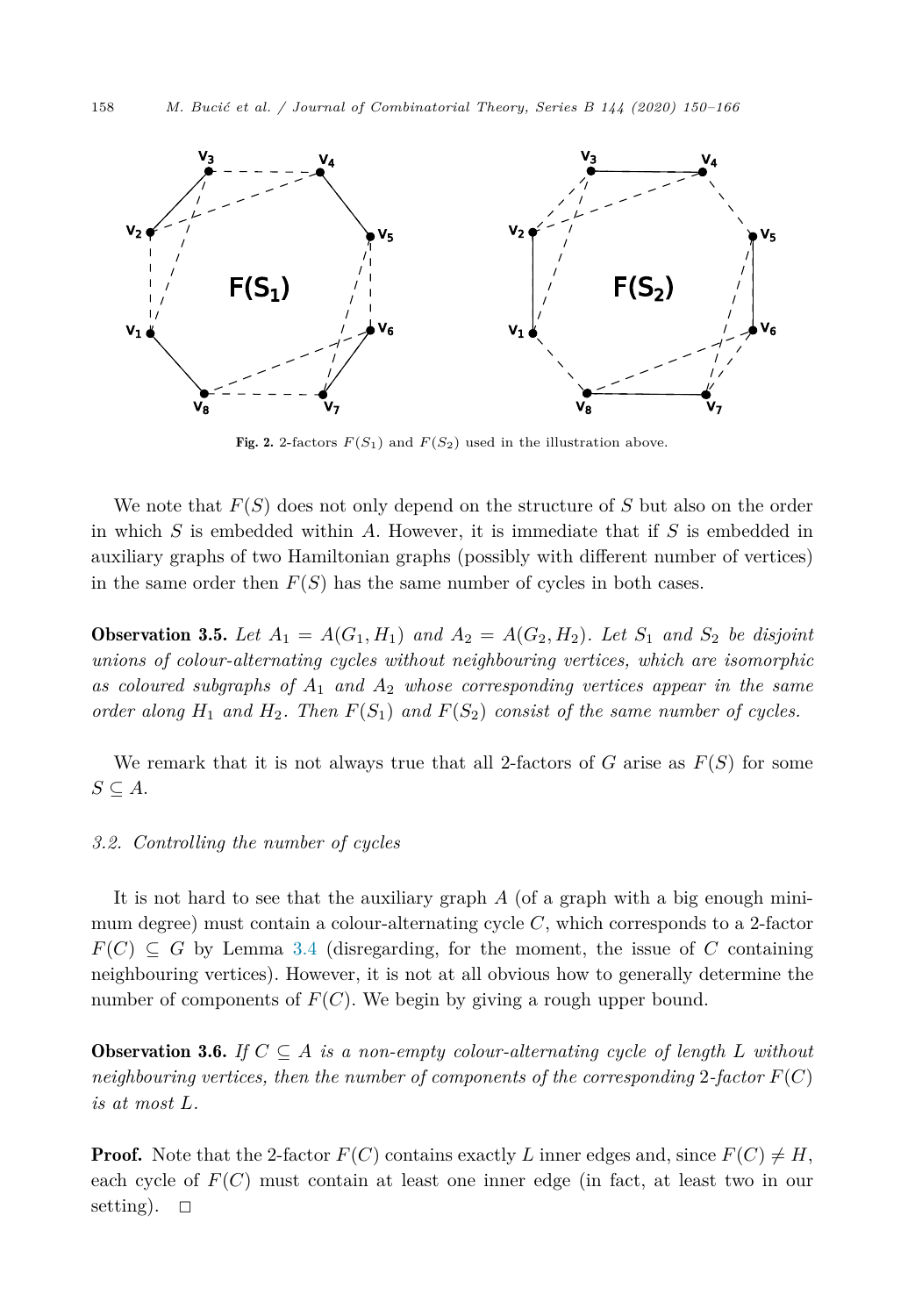<span id="page-8-0"></span>

**Fig. 2.** 2-factors  $F(S_1)$  and  $F(S_2)$  used in the illustration above.

We note that *F*(*S*) does not only depend on the structure of *S* but also on the order in which *S* is embedded within *A*. However, it is immediate that if *S* is embedded in auxiliary graphs of two Hamiltonian graphs (possibly with different number of vertices) in the same order then  $F(S)$  has the same number of cycles in both cases.

**Observation 3.5.** Let  $A_1 = A(G_1, H_1)$  and  $A_2 = A(G_2, H_2)$ . Let  $S_1$  and  $S_2$  be disjoint *unions of colour-alternating cycles without neighbouring vertices, which are isomorphic as coloured subgraphs of A*<sup>1</sup> *and A*<sup>2</sup> *whose corresponding vertices appear in the same order along*  $H_1$  *and*  $H_2$ *. Then*  $F(S_1)$  *and*  $F(S_2)$  *consist of the same number of cycles.* 

We remark that it is not always true that all 2-factors of  $G$  arise as  $F(S)$  for some *S* ⊆ *A*.

### *3.2. Controlling the number of cycles*

It is not hard to see that the auxiliary graph *A* (of a graph with a big enough minimum degree) must contain a colour-alternating cycle *C*, which corresponds to a 2-factor  $F(C) \subseteq G$  by Lemma [3.4](#page-7-0) (disregarding, for the moment, the issue of *C* containing neighbouring vertices). However, it is not at all obvious how to generally determine the number of components of  $F(C)$ . We begin by giving a rough upper bound.

**Observation 3.6.** *If*  $C \subseteq A$  *is a non-empty colour-alternating cycle of length L* without  $\mathcal{L}$  *neighbouring vertices, then the number of components of the corresponding* 2-factor  $F(C)$ *is at most L.*

**Proof.** Note that the 2-factor  $F(C)$  contains exactly L inner edges and, since  $F(C) \neq H$ , each cycle of *F*(*C*) must contain at least one inner edge (in fact, at least two in our setting).  $\Box$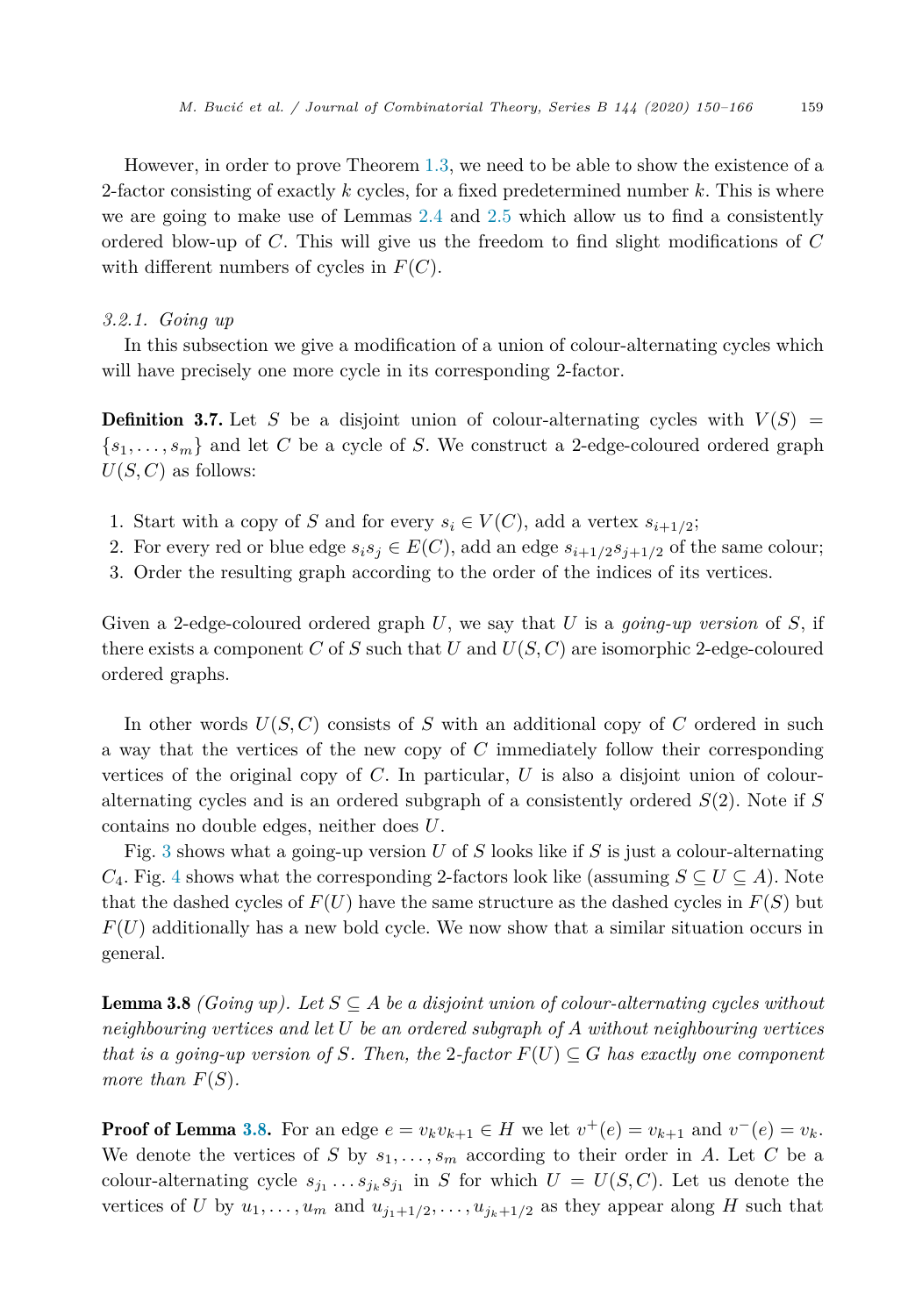<span id="page-9-0"></span>However, in order to prove Theorem [1.3](#page-2-0), we need to be able to show the existence of a 2-factor consisting of exactly *k* cycles, for a fixed predetermined number *k*. This is where we are going to make use of Lemmas [2.4](#page-4-0) and [2.5](#page-5-0) which allow us to find a consistently ordered blow-up of *C*. This will give us the freedom to find slight modifications of *C* with different numbers of cycles in *F*(*C*).

#### *3.2.1. Going up*

In this subsection we give a modification of a union of colour-alternating cycles which will have precisely one more cycle in its corresponding 2-factor.

**Definition 3.7.** Let *S* be a disjoint union of colour-alternating cycles with  $V(S)$  =  $\{s_1, \ldots, s_m\}$  and let C be a cycle of S. We construct a 2-edge-coloured ordered graph  $U(S, C)$  as follows:

- 1. Start with a copy of *S* and for every  $s_i \in V(C)$ , add a vertex  $s_{i+1/2}$ ;
- 2. For every red or blue edge  $s_i s_j \in E(C)$ , add an edge  $s_{i+1/2} s_{i+1/2}$  of the same colour;
- 3. Order the resulting graph according to the order of the indices of its vertices.

Given a 2-edge-coloured ordered graph *U*, we say that *U* is a *going-up version* of *S*, if there exists a component *C* of *S* such that *U* and  $U(S, C)$  are isomorphic 2-edge-coloured ordered graphs.

In other words  $U(S, C)$  consists of *S* with an additional copy of *C* ordered in such a way that the vertices of the new copy of *C* immediately follow their corresponding vertices of the original copy of *C*. In particular, *U* is also a disjoint union of colouralternating cycles and is an ordered subgraph of a consistently ordered *S*(2). Note if *S* contains no double edges, neither does *U*.

Fig. [3](#page-10-0) shows what a going-up version *U* of *S* looks like if *S* is just a colour-alternating *C*<sub>[4](#page-10-0)</sub>. Fig. 4 shows what the corresponding 2-factors look like (assuming  $S \subseteq U \subseteq A$ ). Note that the dashed cycles of  $F(U)$  have the same structure as the dashed cycles in  $F(S)$  but  $F(U)$  additionally has a new bold cycle. We now show that a similar situation occurs in general.

**Lemma 3.8** *(Going up).* Let  $S \subseteq A$  *be a disjoint union of colour-alternating cycles without neighbouring vertices and let U be an ordered subgraph of A without neighbouring vertices that is a going-up version of*  $S$ *. Then, the* 2-factor  $F(U) \subseteq G$  *has exactly one component more than*  $F(S)$ *.* 

**Proof of Lemma 3.8.** For an edge  $e = v_k v_{k+1} \in H$  we let  $v^+(e) = v_{k+1}$  and  $v^-(e) = v_k$ . We denote the vertices of *S* by  $s_1, \ldots, s_m$  according to their order in *A*. Let *C* be a colour-alternating cycle  $s_{j_1} \ldots s_{j_k} s_{j_1}$  in *S* for which  $U = U(S, C)$ . Let us denote the vertices of *U* by  $u_1, \ldots, u_m$  and  $u_{j_1+1/2}, \ldots, u_{j_k+1/2}$  as they appear along *H* such that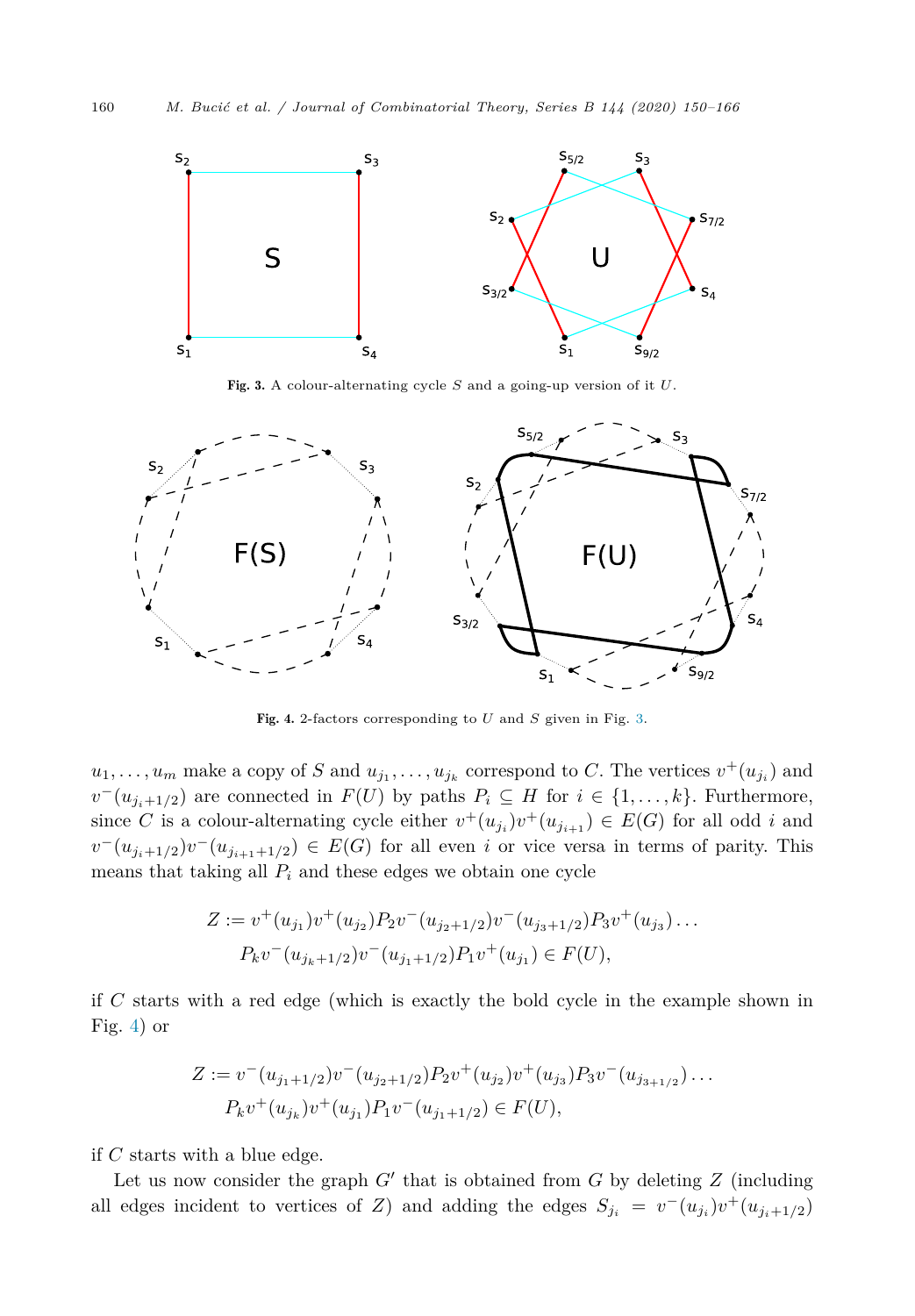

Fig. 3. A colour-alternating cycle *S* and a going-up version of it *U*.



Fig. 4. 2-factors corresponding to *U* and *S* given in Fig. 3.

 $u_1, \ldots, u_m$  make a copy of *S* and  $u_{j_1}, \ldots, u_{j_k}$  correspond to *C*. The vertices  $v^+(u_{j_i})$  and *v*<sup>−</sup>( $u_{j_i+1/2}$ ) are connected in *F*(*U*) by paths  $P_i$  ⊆ *H* for  $i \in \{1, ..., k\}$ . Furthermore, since *C* is a colour-alternating cycle either  $v^+(u_{j_i})v^+(u_{j_{i+1}}) \in E(G)$  for all odd *i* and *v*<sup>−</sup>( $u_{j_i+1/2}$ )*v*<sup>−</sup>( $u_{j_{i+1}+1/2}$ ) ∈ *E*(*G*) for all even *i* or vice versa in terms of parity. This means that taking all  $P_i$  and these edges we obtain one cycle

$$
Z := v^+(u_{j_1})v^+(u_{j_2})P_2v^-(u_{j_2+1/2})v^-(u_{j_3+1/2})P_3v^+(u_{j_3})\dots
$$
  

$$
P_kv^-(u_{j_k+1/2})v^-(u_{j_1+1/2})P_1v^+(u_{j_1}) \in F(U),
$$

if *C* starts with a red edge (which is exactly the bold cycle in the example shown in Fig. 4) or

$$
Z := v^{-}(u_{j_1+1/2})v^{-}(u_{j_2+1/2})P_2v^{+}(u_{j_2})v^{+}(u_{j_3})P_3v^{-}(u_{j_{3+1/2}})\dots
$$
  

$$
P_kv^{+}(u_{j_k})v^{+}(u_{j_1})P_1v^{-}(u_{j_1+1/2}) \in F(U),
$$

if *C* starts with a blue edge.

Let us now consider the graph  $G'$  that is obtained from  $G$  by deleting  $Z$  (including all edges incident to vertices of *Z*) and adding the edges  $S_{j_i} = v^-(u_{j_i})v^+(u_{j_i+1/2})$ 

<span id="page-10-0"></span>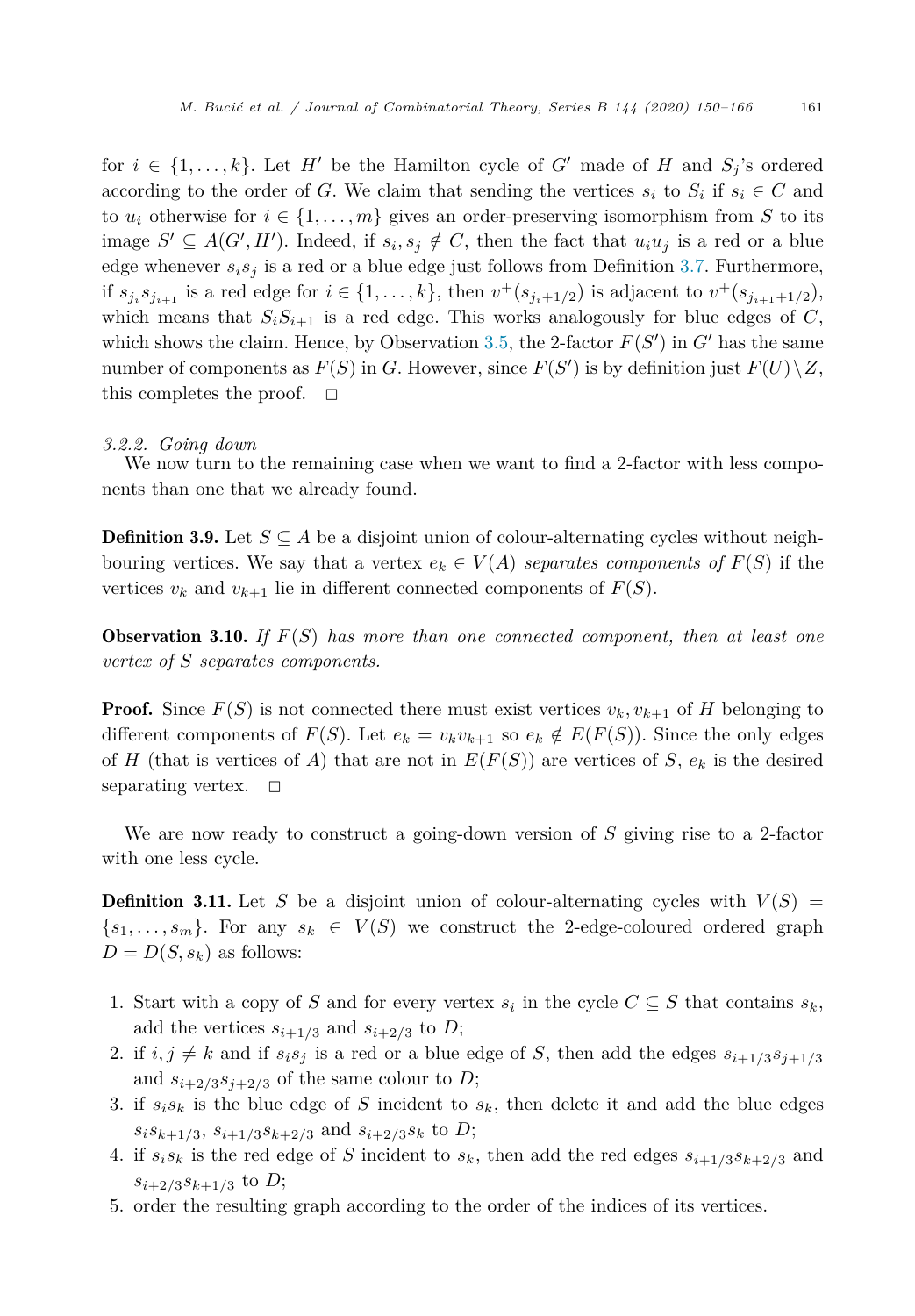<span id="page-11-0"></span>for  $i \in \{1, \ldots, k\}$ . Let *H'* be the Hamilton cycle of *G'* made of *H* and  $S_j$ 's ordered according to the order of *G*. We claim that sending the vertices  $s_i$  to  $S_i$  if  $s_i \in C$  and to  $u_i$  otherwise for  $i \in \{1, \ldots, m\}$  gives an order-preserving isomorphism from *S* to its image  $S'$  ⊆  $A(G', H')$ . Indeed, if  $s_i, s_j \notin C$ , then the fact that  $u_iu_j$  is a red or a blue edge whenever  $s_i s_j$  is a red or a blue edge just follows from Definition [3.7.](#page-9-0) Furthermore, if  $s_{j_i}s_{j_{i+1}}$  is a red edge for  $i \in \{1, ..., k\}$ , then  $v^+(s_{j_i+1/2})$  is adjacent to  $v^+(s_{j_{i+1}+1/2})$ , which means that  $S_i S_{i+1}$  is a red edge. This works analogously for blue edges of *C*, which shows the claim. Hence, by Observation [3.5,](#page-8-0) the 2-factor  $F(S')$  in  $G'$  has the same number of components as  $F(S)$  in *G*. However, since  $F(S')$  is by definition just  $F(U) \setminus Z$ , this completes the proof.  $\Box$ 

#### *3.2.2. Going down*

We now turn to the remaining case when we want to find a 2-factor with less components than one that we already found.

**Definition 3.9.** Let  $S \subseteq A$  be a disjoint union of colour-alternating cycles without neighbouring vertices. We say that a vertex  $e_k \in V(A)$  separates components of  $F(S)$  if the vertices  $v_k$  and  $v_{k+1}$  lie in different connected components of  $F(S)$ .

Observation 3.10. *If F*(*S*) *has more than one connected component, then at least one vertex of S separates components.*

**Proof.** Since  $F(S)$  is not connected there must exist vertices  $v_k, v_{k+1}$  of *H* belonging to different components of  $F(S)$ . Let  $e_k = v_k v_{k+1}$  so  $e_k \notin E(F(S))$ . Since the only edges of *H* (that is vertices of *A*) that are not in  $E(F(S))$  are vertices of *S*,  $e_k$  is the desired separating vertex.  $\Box$ 

We are now ready to construct a going-down version of *S* giving rise to a 2-factor with one less cycle.

**Definition 3.11.** Let *S* be a disjoint union of colour-alternating cycles with  $V(S)$  =  $\{s_1, \ldots, s_m\}$ . For any  $s_k \in V(S)$  we construct the 2-edge-coloured ordered graph  $D = D(S, s_k)$  as follows:

- 1. Start with a copy of *S* and for every vertex  $s_i$  in the cycle  $C \subseteq S$  that contains  $s_k$ , add the vertices  $s_{i+1/3}$  and  $s_{i+2/3}$  to *D*;
- 2. if  $i, j \neq k$  and if  $s_i s_j$  is a red or a blue edge of *S*, then add the edges  $s_{i+1/3} s_{j+1/3}$ and  $s_{i+2/3}s_{i+2/3}$  of the same colour to *D*;
- 3. if  $s_i s_k$  is the blue edge of *S* incident to  $s_k$ , then delete it and add the blue edges  $s_i s_{k+1/3}, s_{i+1/3} s_{k+2/3}$  and  $s_{i+2/3} s_k$  to *D*;
- 4. if  $s_i s_k$  is the red edge of *S* incident to  $s_k$ , then add the red edges  $s_{i+1/3} s_{k+2/3}$  and  $s_{i+2/3} s_{k+1/3}$  to *D*;
- 5. order the resulting graph according to the order of the indices of its vertices.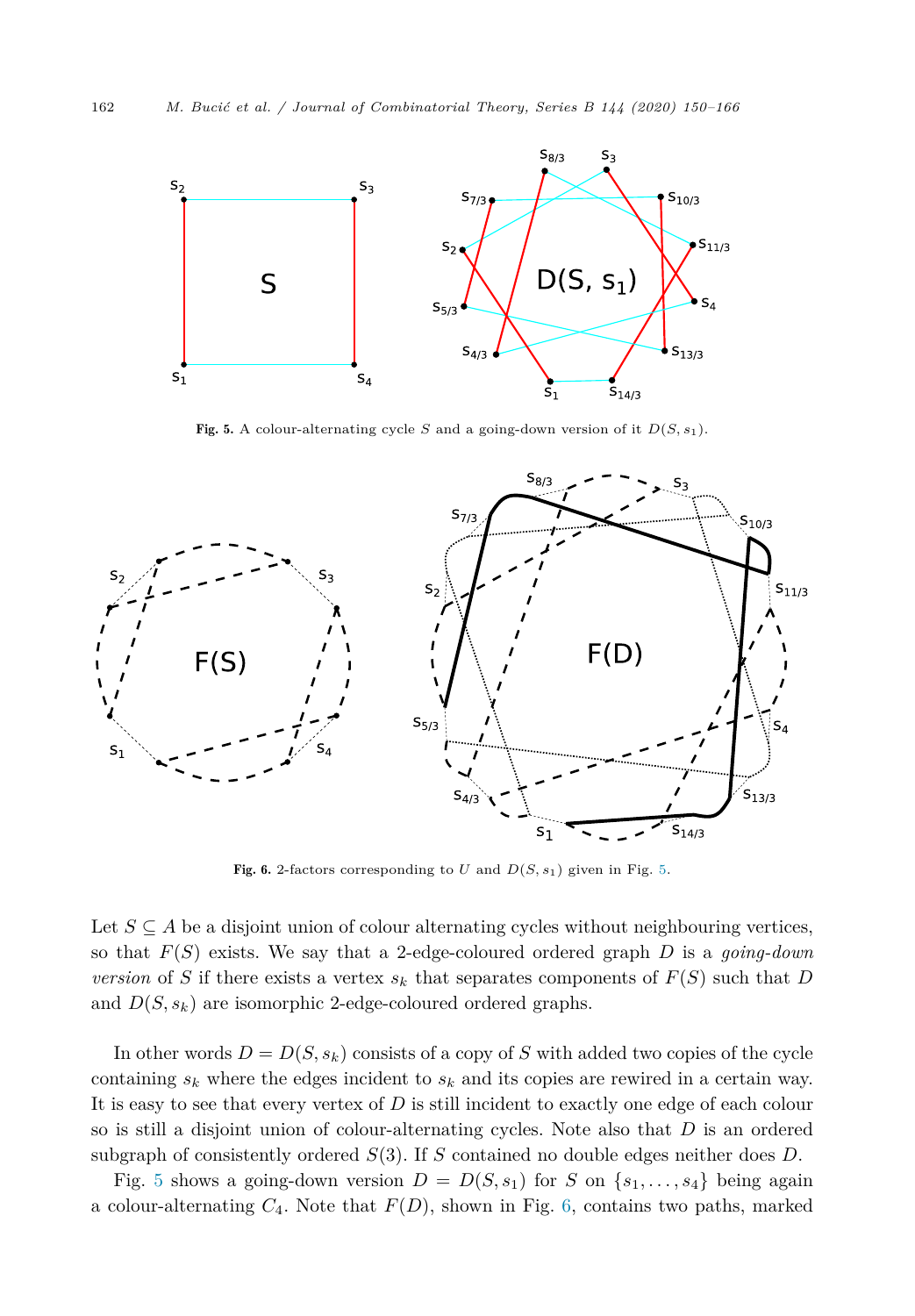<span id="page-12-0"></span>

Fig. 5. A colour-alternating cycle *S* and a going-down version of it  $D(S, s_1)$ .



Fig. 6. 2-factors corresponding to *U* and  $D(S, s_1)$  given in Fig. 5.

Let  $S \subseteq A$  be a disjoint union of colour alternating cycles without neighbouring vertices, so that *F*(*S*) exists. We say that a 2-edge-coloured ordered graph *D* is a *going-down version* of *S* if there exists a vertex  $s_k$  that separates components of  $F(S)$  such that *D* and  $D(S, s_k)$  are isomorphic 2-edge-coloured ordered graphs.

In other words  $D = D(S, s_k)$  consists of a copy of *S* with added two copies of the cycle containing  $s_k$  where the edges incident to  $s_k$  and its copies are rewired in a certain way. It is easy to see that every vertex of *D* is still incident to exactly one edge of each colour so is still a disjoint union of colour-alternating cycles. Note also that *D* is an ordered subgraph of consistently ordered *S*(3). If *S* contained no double edges neither does *D*.

Fig. 5 shows a going-down version  $D = D(S, s_1)$  for *S* on  $\{s_1, \ldots, s_4\}$  being again a colour-alternating  $C_4$ . Note that  $F(D)$ , shown in Fig. 6, contains two paths, marked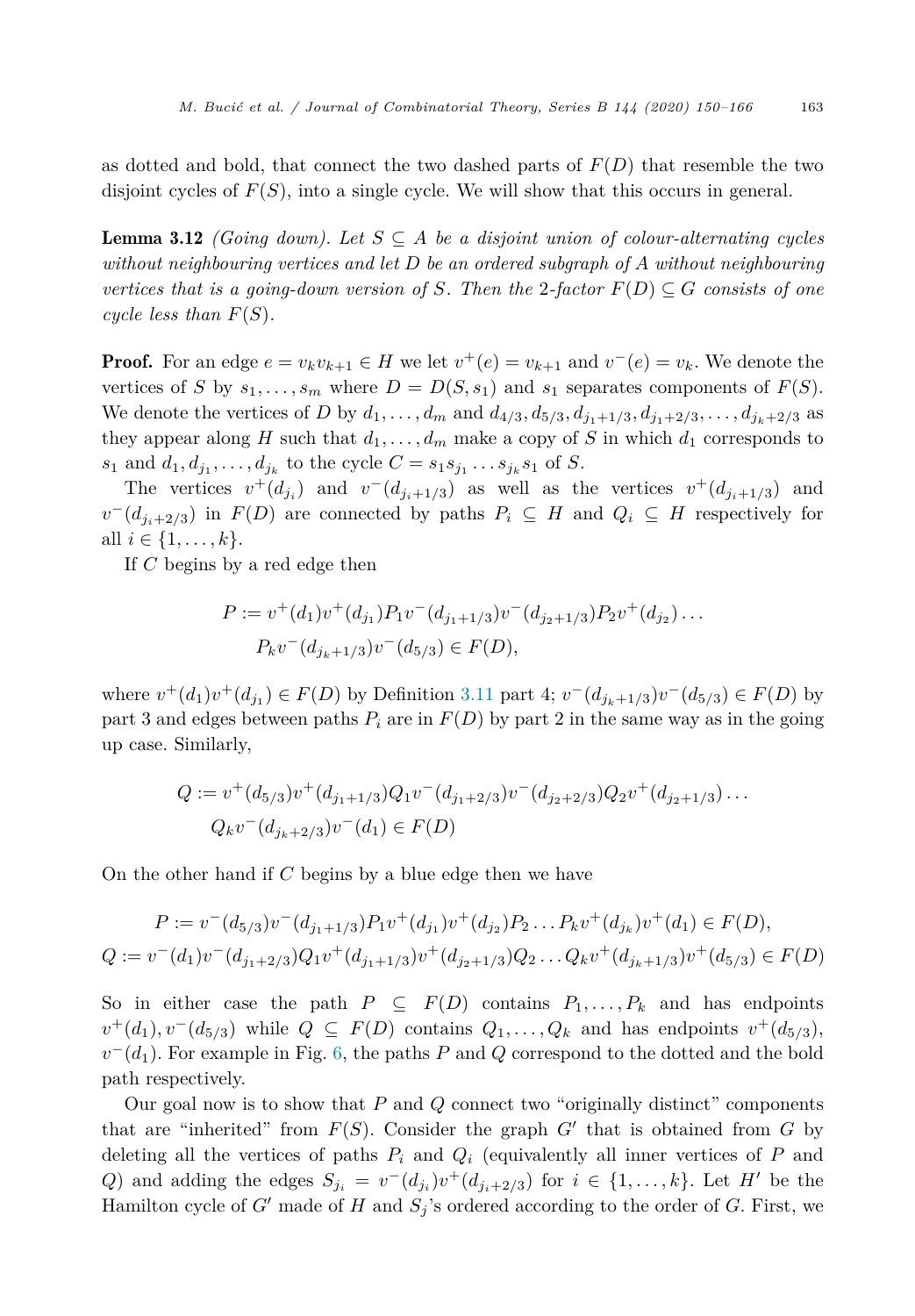<span id="page-13-0"></span>as dotted and bold, that connect the two dashed parts of *F*(*D*) that resemble the two disjoint cycles of *F*(*S*), into a single cycle. We will show that this occurs in general.

Lemma 3.12 *(Going down). Let S* ⊆ *A be a disjoint union of colour-alternating cycles without neighbouring vertices and let D be an ordered subgraph of A without neighbouring vertices* that is a going-down version of S. Then the 2-factor  $F(D) \subseteq G$  consists of one *cycle less than*  $F(S)$ *.* 

**Proof.** For an edge  $e = v_k v_{k+1} \in H$  we let  $v^+(e) = v_{k+1}$  and  $v^-(e) = v_k$ . We denote the vertices of *S* by  $s_1, \ldots, s_m$  where  $D = D(S, s_1)$  and  $s_1$  separates components of  $F(S)$ . We denote the vertices of D by  $d_1, ..., d_m$  and  $d_{4/3}, d_{5/3}, d_{j_1+1/3}, d_{j_1+2/3}, ..., d_{j_k+2/3}$  as they appear along *H* such that  $d_1, \ldots, d_m$  make a copy of *S* in which  $d_1$  corresponds to *s*<sub>1</sub> and  $d_1, d_{j_1}, \ldots, d_{j_k}$  to the cycle  $C = s_1 s_{j_1} \ldots s_{j_k} s_1$  of *S*.

The vertices  $v^+(d_{j_i})$  and  $v^-(d_{j_i+1/3})$  as well as the vertices  $v^+(d_{j_i+1/3})$  and *v*<sup>−</sup>( $d_{i,i+2/3}$ ) in *F*(*D*) are connected by paths  $P_i$  ⊆ *H* and  $Q_i$  ⊆ *H* respectively for all *i* ∈ {1, ..., *k*}.

If *C* begins by a red edge then

$$
P := v^+(d_1)v^+(d_{j_1})P_1v^-(d_{j_1+1/3})v^-(d_{j_2+1/3})P_2v^+(d_{j_2})\dots
$$
  

$$
P_kv^-(d_{j_k+1/3})v^-(d_{5/3}) \in F(D),
$$

where  $v^+(d_1)v^+(d_{j_1}) \in F(D)$  by Definition [3.11](#page-11-0) part 4;  $v^-(d_{j_k+1/3})v^-(d_{5/3}) \in F(D)$  by part 3 and edges between paths  $P_i$  are in  $F(D)$  by part 2 in the same way as in the going up case. Similarly,

$$
Q := v^+(d_{5/3})v^+(d_{j_1+1/3})Q_1v^-(d_{j_1+2/3})v^-(d_{j_2+2/3})Q_2v^+(d_{j_2+1/3})\dots
$$
  

$$
Q_kv^-(d_{j_k+2/3})v^-(d_1) \in F(D)
$$

On the other hand if *C* begins by a blue edge then we have

$$
P := v^-(d_{5/3})v^-(d_{j_1+1/3})P_1v^+(d_{j_1})v^+(d_{j_2})P_2...P_kv^+(d_{j_k})v^+(d_1) \in F(D),
$$
  
\n
$$
Q := v^-(d_1)v^-(d_{j_1+2/3})Q_1v^+(d_{j_1+1/3})v^+(d_{j_2+1/3})Q_2...Q_kv^+(d_{j_k+1/3})v^+(d_{5/3}) \in F(D)
$$

So in either case the path  $P \subseteq F(D)$  contains  $P_1, \ldots, P_k$  and has endpoints  $v^+(d_1), v^-(d_{5/3})$  while  $Q \subseteq F(D)$  contains  $Q_1, \ldots, Q_k$  and has endpoints  $v^+(d_{5/3}),$  $v^-(d_1)$ . For example in Fig. [6,](#page-12-0) the paths *P* and *Q* correspond to the dotted and the bold path respectively.

Our goal now is to show that *P* and *Q* connect two "originally distinct" components that are "inherited" from  $F(S)$ . Consider the graph  $G'$  that is obtained from  $G$  by deleting all the vertices of paths  $P_i$  and  $Q_i$  (equivalently all inner vertices of  $P$  and *Q*) and adding the edges  $S_{j_i} = v^-(d_{j_i})v^+(d_{j_i+2/3})$  for  $i \in \{1,\ldots,k\}$ . Let *H* be the Hamilton cycle of  $G'$  made of  $H$  and  $S_j$ 's ordered according to the order of  $G$ . First, we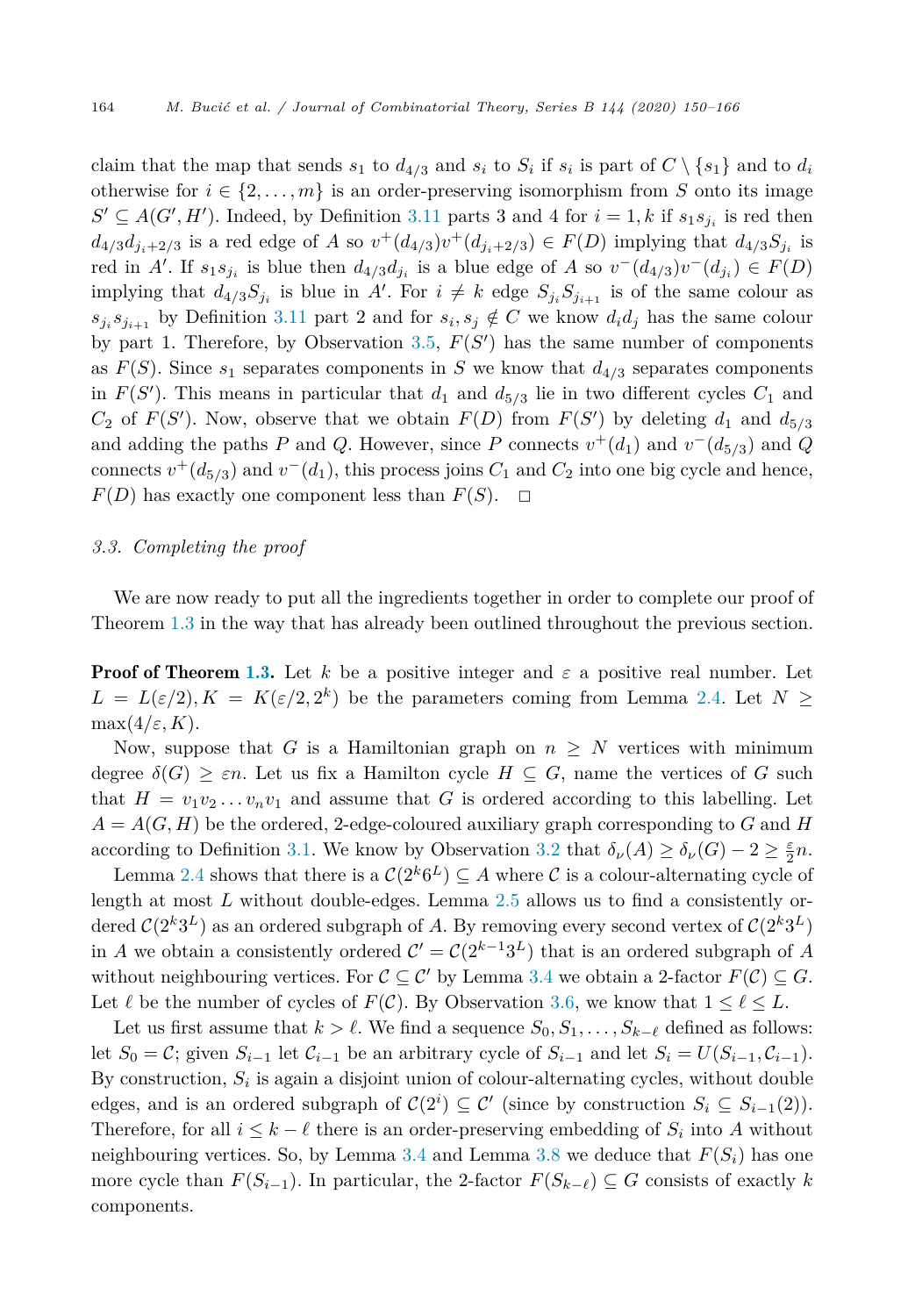claim that the map that sends  $s_1$  to  $d_{4/3}$  and  $s_i$  to  $S_i$  if  $s_i$  is part of  $C \setminus \{s_1\}$  and to  $d_i$ otherwise for  $i \in \{2, \ldots, m\}$  is an order-preserving isomorphism from *S* onto its image  $S' \subseteq A(G', H')$ . Indeed, by Definition [3.11](#page-11-0) parts 3 and 4 for  $i = 1, k$  if  $s_1 s_{j_i}$  is red then  $d_{4/3}d_{i_1+2/3}$  is a red edge of A so  $v^+(d_{4/3})v^+(d_{i_1+2/3}) \in F(D)$  implying that  $d_{4/3}S_{i_1}$  is red in A'. If  $s_1s_{j_i}$  is blue then  $d_{4/3}d_{j_i}$  is a blue edge of A so  $v^-(d_{4/3})v^-(d_{j_i}) \in F(D)$ implying that  $d_{4/3}S_{j_i}$  is blue in A'. For  $i \neq k$  edge  $S_{j_i}S_{j_{i+1}}$  is of the same colour as  $s_i s_{i+1}$  by Definition [3.11](#page-11-0) part 2 and for  $s_i, s_j \notin C$  we know  $d_i d_j$  has the same colour by part 1. Therefore, by Observation [3.5](#page-8-0), *F*(*S* ) has the same number of components as  $F(S)$ . Since  $s_1$  separates components in *S* we know that  $d_{4/3}$  separates components in  $F(S')$ . This means in particular that  $d_1$  and  $d_{5/3}$  lie in two different cycles  $C_1$  and  $C_2$  of  $F(S')$ . Now, observe that we obtain  $F(D)$  from  $F(S')$  by deleting  $d_1$  and  $d_{5/3}$ and adding the paths *P* and *Q*. However, since *P* connects  $v^+(d_1)$  and  $v^-(d_{5/3})$  and *Q* connects  $v^+(d_{5/3})$  and  $v^-(d_1)$ , this process joins  $C_1$  and  $C_2$  into one big cycle and hence,  $F(D)$  has exactly one component less than  $F(S)$ .  $\Box$ 

# *3.3. Completing the proof*

We are now ready to put all the ingredients together in order to complete our proof of Theorem [1.3](#page-2-0) in the way that has already been outlined throughout the previous section.

**Proof of Theorem [1.3.](#page-2-0)** Let k be a positive integer and  $\varepsilon$  a positive real number. Let  $L = L(\varepsilon/2), K = K(\varepsilon/2, 2^k)$  be the parameters coming from Lemma [2.4.](#page-4-0) Let  $N \geq$  $max(4/\varepsilon, K)$ .

Now, suppose that *G* is a Hamiltonian graph on  $n \geq N$  vertices with minimum degree  $\delta(G) \geq \varepsilon n$ . Let us fix a Hamilton cycle  $H \subseteq G$ , name the vertices of G such that  $H = v_1v_2...v_nv_1$  and assume that G is ordered according to this labelling. Let  $A = A(G, H)$  be the ordered, 2-edge-coloured auxiliary graph corresponding to G and H according to Definition [3.1](#page-6-0). We know by Observation [3.2](#page-6-0) that  $\delta_{\nu}(A) \geq \delta_{\nu}(G) - 2 \geq \frac{\varepsilon}{2}n$ .

Lemma [2.4](#page-4-0) shows that there is a  $C(2^k 6^L) \subseteq A$  where C is a colour-alternating cycle of length at most *L* without double-edges. Lemma [2.5](#page-5-0) allows us to find a consistently ordered  $C(2^k3^L)$  as an ordered subgraph of *A*. By removing every second vertex of  $C(2^k3^L)$ in *A* we obtain a consistently ordered  $C' = C(2^{k-1}3^{L})$  that is an ordered subgraph of *A* without neighbouring vertices. For  $C \subseteq C'$  by Lemma [3.4](#page-7-0) we obtain a 2-factor  $F(C) \subseteq G$ . Let  $\ell$  be the number of cycles of  $F(\mathcal{C})$ . By Observation [3.6,](#page-8-0) we know that  $1 \leq \ell \leq L$ .

Let us first assume that  $k > \ell$ . We find a sequence  $S_0, S_1, \ldots, S_{k-\ell}$  defined as follows: let  $S_0 = C$ ; given  $S_{i-1}$  let  $C_{i-1}$  be an arbitrary cycle of  $S_{i-1}$  and let  $S_i = U(S_{i-1}, C_{i-1})$ . By construction,  $S_i$  is again a disjoint union of colour-alternating cycles, without double edges, and is an ordered subgraph of  $C(2^i) \subseteq C'$  (since by construction  $S_i \subseteq S_{i-1}(2)$ ). Therefore, for all  $i \leq k - \ell$  there is an order-preserving embedding of  $S_i$  into A without neighbouring vertices. So, by Lemma [3.4](#page-7-0) and Lemma [3.8](#page-9-0) we deduce that  $F(S_i)$  has one more cycle than  $F(S_{i-1})$ . In particular, the 2-factor  $F(S_{k-\ell}) \subseteq G$  consists of exactly  $k$ components.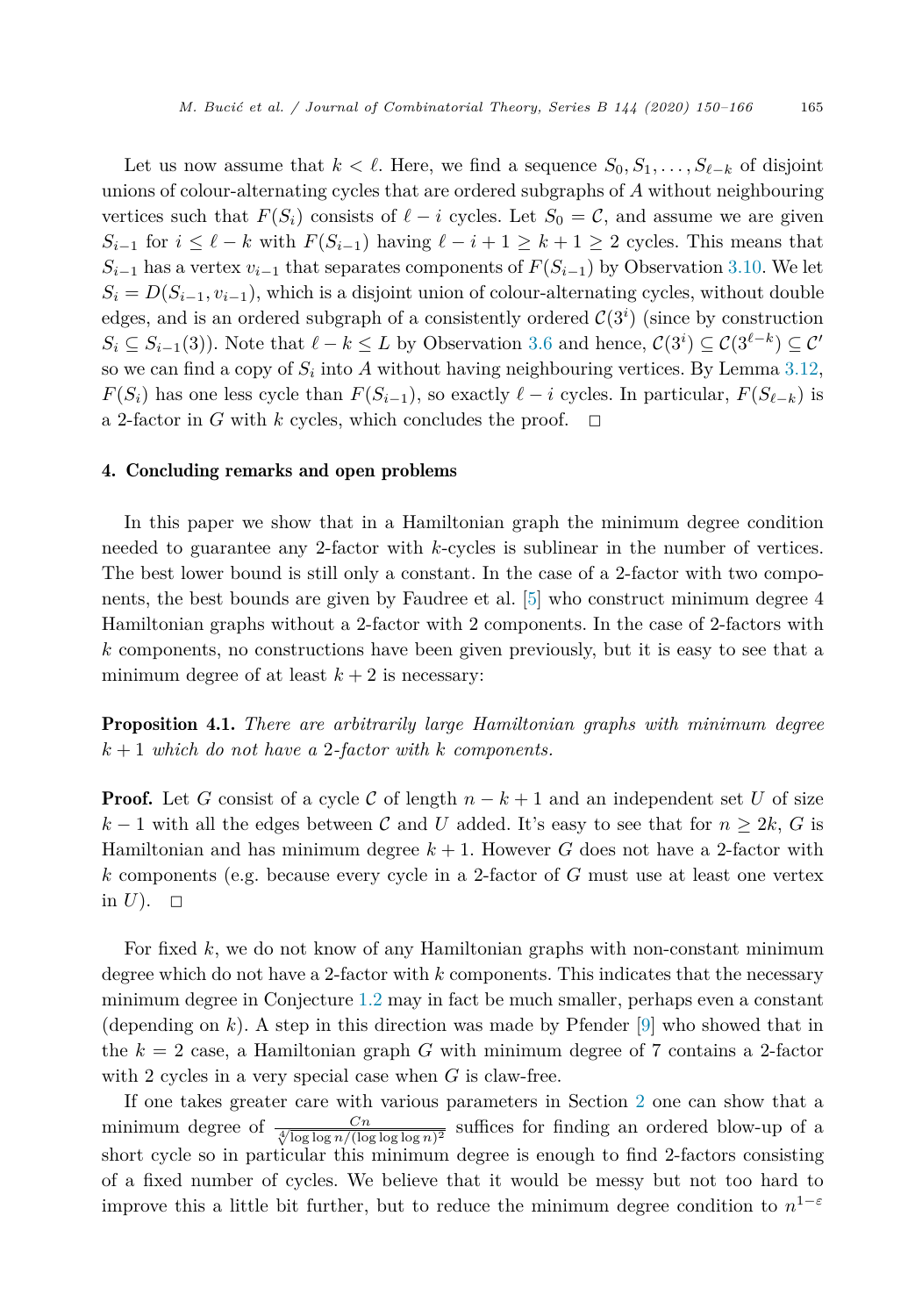Let us now assume that  $k < \ell$ . Here, we find a sequence  $S_0, S_1, \ldots, S_{\ell-k}$  of disjoint unions of colour-alternating cycles that are ordered subgraphs of *A* without neighbouring vertices such that  $F(S_i)$  consists of  $\ell - i$  cycles. Let  $S_0 = \mathcal{C}$ , and assume we are given  $S_{i-1}$  for  $i \leq \ell - k$  with  $F(S_{i-1})$  having  $\ell - i + 1 \geq k + 1 \geq 2$  cycles. This means that  $S_{i-1}$  has a vertex  $v_{i-1}$  that separates components of  $F(S_{i-1})$  by Observation [3.10](#page-11-0). We let  $S_i = D(S_{i-1}, v_{i-1})$ , which is a disjoint union of colour-alternating cycles, without double edges, and is an ordered subgraph of a consistently ordered  $C(3<sup>i</sup>)$  (since by construction  $S_i \subseteq S_{i-1}(3)$ ). Note that  $\ell - k \leq L$  by Observation [3.6](#page-8-0) and hence,  $C(3^i) \subseteq C(3^{\ell-k}) \subseteq C'$ so we can find a copy of  $S_i$  into A without having neighbouring vertices. By Lemma [3.12](#page-13-0), *F*(*S*<sup>*i*</sup>) has one less cycle than *F*(*S*<sup>*i*</sup>−1), so exactly  $\ell - i$  cycles. In particular,  $F(S_{\ell-k})$  is a 2-factor in *G* with *k* cycles, which concludes the proof.  $\Box$ 

#### 4. Concluding remarks and open problems

In this paper we show that in a Hamiltonian graph the minimum degree condition needed to guarantee any 2-factor with *k*-cycles is sublinear in the number of vertices. The best lower bound is still only a constant. In the case of a 2-factor with two components, the best bounds are given by Faudree et al. [\[5\]](#page-16-0) who construct minimum degree 4 Hamiltonian graphs without a 2-factor with 2 components. In the case of 2-factors with *k* components, no constructions have been given previously, but it is easy to see that a minimum degree of at least  $k + 2$  is necessary:

Proposition 4.1. *There are arbitrarily large Hamiltonian graphs with minimum degree*  $k+1$  *which do not have a* 2-*factor with k components.* 

**Proof.** Let *G* consist of a cycle *C* of length  $n - k + 1$  and an independent set *U* of size  $k-1$  with all the edges between C and U added. It's easy to see that for  $n \geq 2k$ , G is Hamiltonian and has minimum degree  $k + 1$ . However G does not have a 2-factor with *k* components (e.g. because every cycle in a 2-factor of *G* must use at least one vertex in  $U$ ).  $\Box$ 

For fixed *k*, we do not know of any Hamiltonian graphs with non-constant minimum degree which do not have a 2-factor with *k* components. This indicates that the necessary minimum degree in Conjecture [1.2](#page-1-0) may in fact be much smaller, perhaps even a constant (depending on *k*). A step in this direction was made by Pfender [\[9](#page-16-0)] who showed that in the  $k = 2$  case, a Hamiltonian graph  $G$  with minimum degree of 7 contains a 2-factor with 2 cycles in a very special case when *G* is claw-free.

If one takes greater care with various parameters in Section [2](#page-2-0) one can show that a minimum degree of  $\frac{Cn}{\sqrt[4]{\log \log n/(\log \log \log n)^2}}$  suffices for finding an ordered blow-up of a short cycle so in particular this minimum degree is enough to find 2-factors consisting of a fixed number of cycles. We believe that it would be messy but not too hard to improve this a little bit further, but to reduce the minimum degree condition to  $n^{1-\varepsilon}$